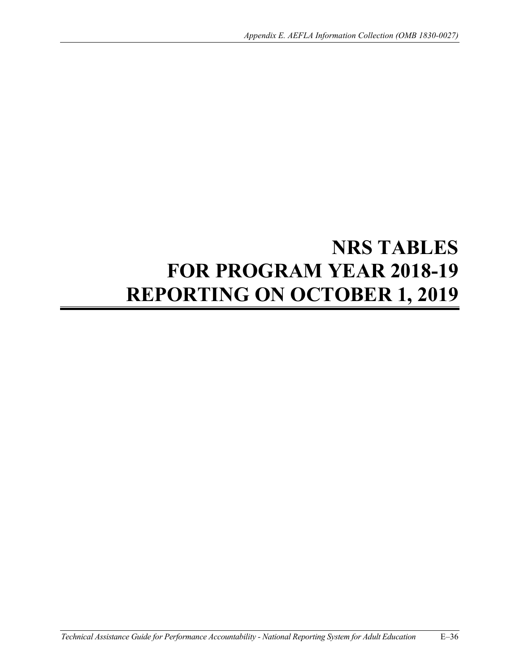# **NRS TABLES FOR PROGRAM YEAR 2018-19 REPORTING ON OCTOBER 1, 2019**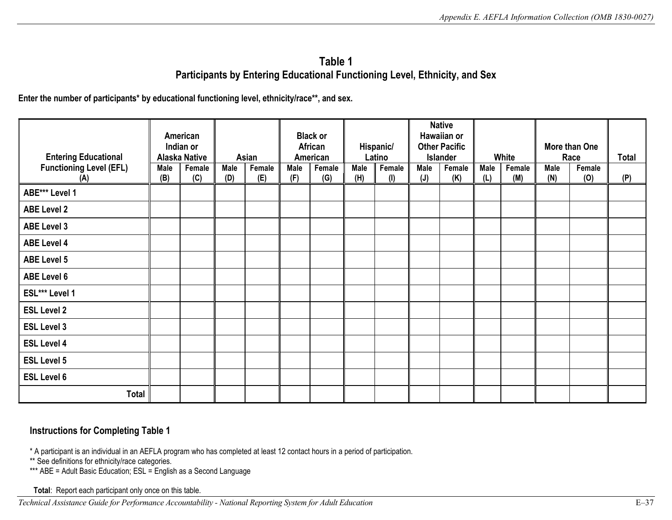# Table 1  **Table 1 Participants by Entering Educational Functioning Level, Ethnicity, and Sex**

Enter the number of participants<sup>\*</sup> by educational functioning level, ethnicity/race<sup>\*\*</sup>, and sex.

|                                |           | American             |      |        |      | <b>Black or</b> |      |           |      | <b>Native</b><br>Hawaiian or |      |        |      |               |              |
|--------------------------------|-----------|----------------------|------|--------|------|-----------------|------|-----------|------|------------------------------|------|--------|------|---------------|--------------|
|                                | Indian or |                      |      |        |      | African         |      | Hispanic/ |      | <b>Other Pacific</b>         |      |        |      | More than One |              |
| <b>Entering Educational</b>    |           | <b>Alaska Native</b> |      | Asian  |      | American        |      | Latino    |      | Islander                     |      | White  |      | Race          | <b>Total</b> |
| <b>Functioning Level (EFL)</b> | Male      | Female               | Male | Female | Male | Female          | Male | Female    | Male | Female                       | Male | Female | Male | Female        |              |
| (A)                            | (B)       | (C)                  | (D)  | (E)    | (F)  | (G)             | (H)  | (1)       | (J)  | (K)                          | (L)  | (M)    | (N)  | (0)           | (P)          |
| ABE*** Level 1                 |           |                      |      |        |      |                 |      |           |      |                              |      |        |      |               |              |
| <b>ABE Level 2</b>             |           |                      |      |        |      |                 |      |           |      |                              |      |        |      |               |              |
| <b>ABE Level 3</b>             |           |                      |      |        |      |                 |      |           |      |                              |      |        |      |               |              |
| <b>ABE Level 4</b>             |           |                      |      |        |      |                 |      |           |      |                              |      |        |      |               |              |
| <b>ABE Level 5</b>             |           |                      |      |        |      |                 |      |           |      |                              |      |        |      |               |              |
| <b>ABE Level 6</b>             |           |                      |      |        |      |                 |      |           |      |                              |      |        |      |               |              |
| ESL*** Level 1                 |           |                      |      |        |      |                 |      |           |      |                              |      |        |      |               |              |
| <b>ESL Level 2</b>             |           |                      |      |        |      |                 |      |           |      |                              |      |        |      |               |              |
| <b>ESL Level 3</b>             |           |                      |      |        |      |                 |      |           |      |                              |      |        |      |               |              |
| <b>ESL Level 4</b>             |           |                      |      |        |      |                 |      |           |      |                              |      |        |      |               |              |
| <b>ESL Level 5</b>             |           |                      |      |        |      |                 |      |           |      |                              |      |        |      |               |              |
| <b>ESL Level 6</b>             |           |                      |      |        |      |                 |      |           |      |                              |      |        |      |               |              |
| <b>Total</b>                   |           |                      |      |        |      |                 |      |           |      |                              |      |        |      |               |              |

#### **Instructions for Completing Table 1**

\* A participant is an individual in an AEFLA program who has completed at least 12 contact hours in a period of participation.

\*\* See definitions for ethnicity/race categories.

 \*\*\* ABE = Adult Basic Education; ESL = English as a Second Language

**Total**: Report each participant only once on this table.

*Technical Assistance Guide for Performance Accountability - National Reporting System for Adult Education* E–37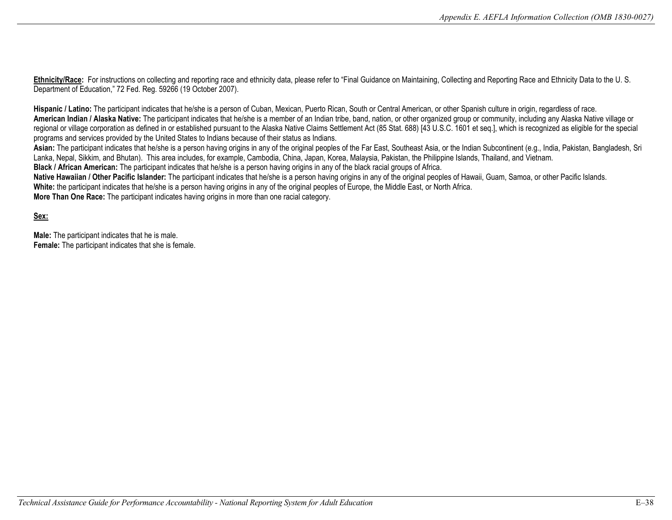Ethnicity/Race: For instructions on collecting and reporting race and ethnicity data, please refer to "Final Guidance on Maintaining, Collecting and Reporting Race and Ethnicity Data to the U. S. Department of Education," 72 Fed. Reg. 59266 (19 October 2007).

Hispanic / Latino: The participant indicates that he/she is a person of Cuban, Mexican, Puerto Rican, South or Central American, or other Spanish culture in origin, regardless of race. **American Indian / Alaska Native:** The participant indicates that he/she is a member of an Indian tribe, band, nation, or other organized group or community, including any Alaska Native village or regional or village corporation as defined in or established pursuant to the Alaska Native Claims Settlement Act (85 Stat. 688) [43 U.S.C. 1601 et seq.], which is recognized as eligible for the special programs and services provided by the United States to Indians because of their status as Indians.

Asian: The participant indicates that he/she is a person having origins in any of the original peoples of the Far East, Southeast Asia, or the Indian Subcontinent (e.g., India, Pakistan, Bangladesh, Sri Lanka, Nepal, Sikkim, and Bhutan). This area includes, for example, Cambodia, China, Japan, Korea, Malaysia, Pakistan, the Philippine Islands, Thailand, and Vietnam.

**Black / African American:** The participant indicates that he/she is a person having origins in any of the black racial groups of Africa.

Native Hawaiian / Other Pacific Islander: The participant indicates that he/she is a person having origins in any of the original peoples of Hawaii, Guam, Samoa, or other Pacific Islands. **White:** the participant indicates that he/she is a person having origins in any of the original peoples of Europe, the Middle East, or North Africa.

**More Than One Race:** The participant indicates having origins in more than one racial category.

**Sex:** 

**Male:** The participant indicates that he is male. **Female:** The participant indicates that she is female.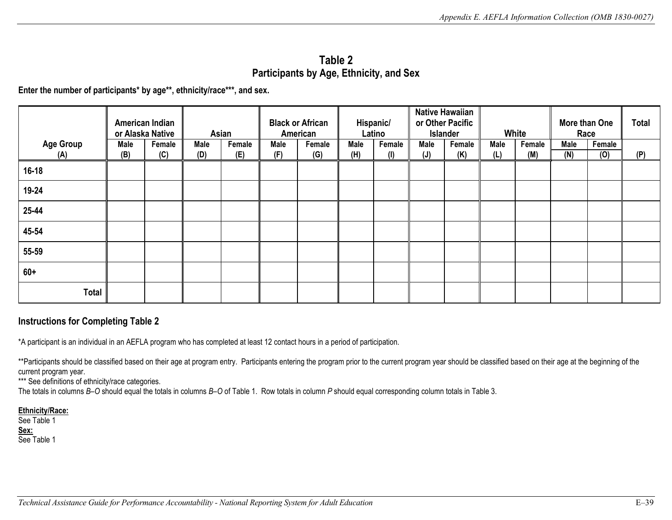# Table 2  **Table 2 Participants by Age, Ethnicity, and Sex**

**Enter the number of participants\* by age\*\*, ethnicity/race\*\*\*, and sex.** 

|                  |      | American Indian<br>or Alaska Native |      | Asian  |      | <b>Black or African</b><br>American |      | Hispanic/<br>Latino |                | <b>Native Hawaiian</b><br>or Other Pacific<br>Islander |      | White  |      | More than One<br>Race | <b>Total</b> |
|------------------|------|-------------------------------------|------|--------|------|-------------------------------------|------|---------------------|----------------|--------------------------------------------------------|------|--------|------|-----------------------|--------------|
| <b>Age Group</b> | Male | Female                              | Male | Female | Male | Female                              | Male | Female              | Male           | Female                                                 | Male | Female | Male | Female                |              |
| (A)              | (B)  | (C)                                 | (D)  | (E)    | (F)  | (G)                                 | (H)  | (1)                 | $(\mathsf{J})$ | (K)                                                    | (L)  | (M)    | (N)  | (0)                   | (P)          |
| $16 - 18$        |      |                                     |      |        |      |                                     |      |                     |                |                                                        |      |        |      |                       |              |
| 19-24            |      |                                     |      |        |      |                                     |      |                     |                |                                                        |      |        |      |                       |              |
| 25-44            |      |                                     |      |        |      |                                     |      |                     |                |                                                        |      |        |      |                       |              |
| 45-54            |      |                                     |      |        |      |                                     |      |                     |                |                                                        |      |        |      |                       |              |
| 55-59            |      |                                     |      |        |      |                                     |      |                     |                |                                                        |      |        |      |                       |              |
| $60+$            |      |                                     |      |        |      |                                     |      |                     |                |                                                        |      |        |      |                       |              |
| <b>Total</b>     |      |                                     |      |        |      |                                     |      |                     |                |                                                        |      |        |      |                       |              |

#### **Instructions for Completing Table 2**

\*A participant is an individual in an AEFLA program who has completed at least 12 contact hours in a period of participation.

 \*\*Participants should be classified based on their age at program entry. Participants entering the program prior to the current program year should be classified based on their age at the beginning of the current program year.

\*\*\* See definitions of ethnicity/race categories.

The totals in columns *B*–*O* should equal the totals in columns *B*–*O* of Table 1. Row totals in column *P* should equal corresponding column totals in Table 3.

#### **Ethnicity/Race:**

See Table 1 **Sex:**  See Table 1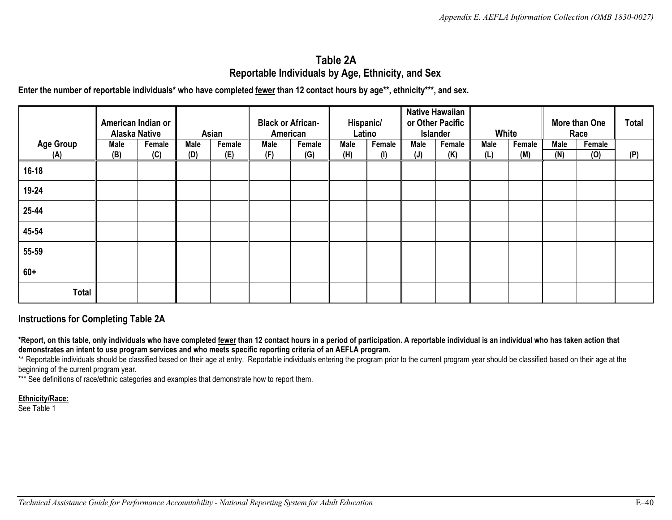# **Table 2A Reportable Individuals by Age, Ethnicity, and Sex**

 **Enter the number of reportable individuals\* who have completed fewer than 12 contact hours by age\*\*, ethnicity\*\*\*, and sex.** 

|                  | American Indian or<br><b>Alaska Native</b> |        |      | Asian  | <b>Black or African-</b><br>American |        | Hispanic/   | Latino |                | <b>Native Hawaiian</b><br>or Other Pacific<br>Islander | White |        |      | More than One<br>Race | <b>Total</b> |
|------------------|--------------------------------------------|--------|------|--------|--------------------------------------|--------|-------------|--------|----------------|--------------------------------------------------------|-------|--------|------|-----------------------|--------------|
| <b>Age Group</b> | Male                                       | Female | Male | Female | Male                                 | Female | <b>Male</b> | Female | Male           | Female                                                 | Male  | Female | Male | Female                |              |
| (A)              | (B)                                        | (C)    | (D)  | (E)    | (F)                                  | (G)    | (H)         | (I)    | $(\mathsf{J})$ | (K)                                                    | (L)   | (M)    | (N)  | (0)                   | (P)          |
| $16 - 18$        |                                            |        |      |        |                                      |        |             |        |                |                                                        |       |        |      |                       |              |
| 19-24            |                                            |        |      |        |                                      |        |             |        |                |                                                        |       |        |      |                       |              |
| 25-44            |                                            |        |      |        |                                      |        |             |        |                |                                                        |       |        |      |                       |              |
| 45-54            |                                            |        |      |        |                                      |        |             |        |                |                                                        |       |        |      |                       |              |
| 55-59            |                                            |        |      |        |                                      |        |             |        |                |                                                        |       |        |      |                       |              |
| $60+$            |                                            |        |      |        |                                      |        |             |        |                |                                                        |       |        |      |                       |              |
| Total            |                                            |        |      |        |                                      |        |             |        |                |                                                        |       |        |      |                       |              |

#### **Instructions for Completing Table 2A**

 **\*Report, on this table, only individuals who have completed fewer than 12 contact hours in a period of participation. A reportable individual is an individual who has taken action that demonstrates an intent to use program services and who meets specific reporting criteria of an AEFLA program.** 

 beginning of the current program year. \*\* Reportable individuals should be classified based on their age at entry. Reportable individuals entering the program prior to the current program year should be classified based on their age at the

\*\*\* See definitions of race/ethnic categories and examples that demonstrate how to report them.

**Ethnicity/Race:** 

See Table 1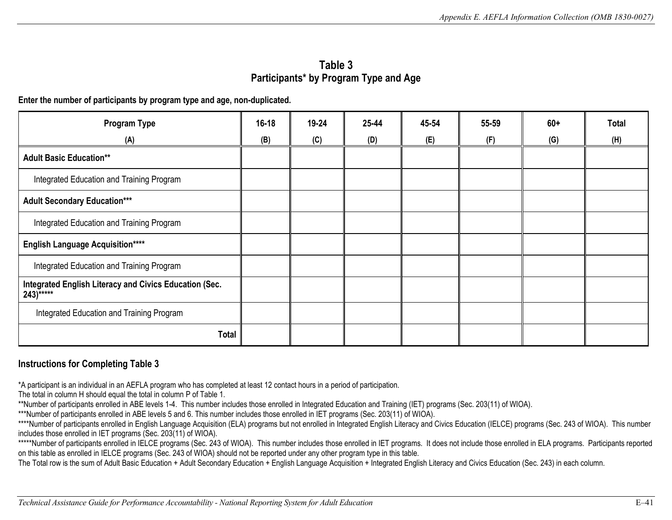## **Participants\* by Program Type and Age Table 3**

**Enter the number of participants by program type and age, non-duplicated.** 

| Program Type                                                           | $16 - 18$ | 19-24 | 25-44 | 45-54 | 55-59 | $60+$ | <b>Total</b> |
|------------------------------------------------------------------------|-----------|-------|-------|-------|-------|-------|--------------|
| (A)                                                                    | (B)       | (C)   | (D)   | (E)   | (F)   | (G)   | (H)          |
| <b>Adult Basic Education**</b>                                         |           |       |       |       |       |       |              |
| Integrated Education and Training Program                              |           |       |       |       |       |       |              |
| <b>Adult Secondary Education***</b>                                    |           |       |       |       |       |       |              |
| Integrated Education and Training Program                              |           |       |       |       |       |       |              |
| <b>English Language Acquisition****</b>                                |           |       |       |       |       |       |              |
| Integrated Education and Training Program                              |           |       |       |       |       |       |              |
| Integrated English Literacy and Civics Education (Sec.<br>$243$ )***** |           |       |       |       |       |       |              |
| Integrated Education and Training Program                              |           |       |       |       |       |       |              |
| <b>Total</b>                                                           |           |       |       |       |       |       |              |

#### **Instructions for Completing Table 3**

\*A participant is an individual in an AEFLA program who has completed at least 12 contact hours in a period of participation.

The total in column H should equal the total in column P of Table 1.

\*\*Number of participants enrolled in ABE levels 1-4. This number includes those enrolled in Integrated Education and Training (IET) programs (Sec. 203(11) of WIOA).

\*\*\*Number of participants enrolled in ABE levels 5 and 6. This number includes those enrolled in IET programs (Sec. 203(11) of WIOA).

\*\*\*\*Number of participants enrolled in English Language Acquisition (ELA) programs but not enrolled in Integrated English Literacy and Civics Education (IELCE) programs (Sec. 243 of WIOA). This number includes those enrolled in IET programs (Sec. 203(11) of WIOA).

 on this table as enrolled in IELCE programs (Sec. 243 of WIOA) should not be reported under any other program type in this table. \*\*\*\*\*Number of participants enrolled in IELCE programs (Sec. 243 of WIOA). This number includes those enrolled in IET programs. It does not include those enrolled in ELA programs. Participants reported

The Total row is the sum of Adult Basic Education + Adult Secondary Education + English Language Acquisition + Integrated English Literacy and Civics Education (Sec. 243) in each column.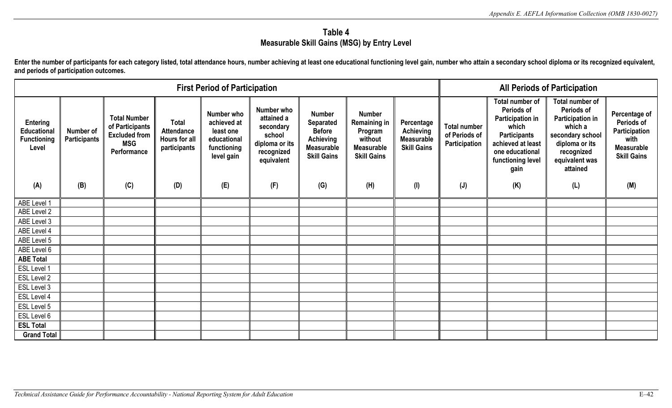# **Table 4 Measurable Skill Gains (MSG) by Entry Level**

Enter the number of participants for each category listed, total attendance hours, number achieving at least one educational functioning level gain, number who attain a secondary school diploma or its recognized equivalent **and periods of participation outcomes.** 

|                                                                             | <b>First Period of Participation</b>    |                                                                                                    |                                                                           |                                                                                           |                                                                                                      |                                                                                                                          |                                                                                                              |                                                                           |                                                              |                                                                                                                                                                      | <b>All Periods of Participation</b>                                                                                                                          |                                                                                                        |
|-----------------------------------------------------------------------------|-----------------------------------------|----------------------------------------------------------------------------------------------------|---------------------------------------------------------------------------|-------------------------------------------------------------------------------------------|------------------------------------------------------------------------------------------------------|--------------------------------------------------------------------------------------------------------------------------|--------------------------------------------------------------------------------------------------------------|---------------------------------------------------------------------------|--------------------------------------------------------------|----------------------------------------------------------------------------------------------------------------------------------------------------------------------|--------------------------------------------------------------------------------------------------------------------------------------------------------------|--------------------------------------------------------------------------------------------------------|
| <b>Entering</b><br><b>Educational</b><br><b>Functioning</b><br>Level<br>(A) | Number of<br><b>Participants</b><br>(B) | <b>Total Number</b><br>of Participants<br><b>Excluded from</b><br><b>MSG</b><br>Performance<br>(C) | <b>Total</b><br><b>Attendance</b><br>Hours for all<br>participants<br>(D) | Number who<br>achieved at<br>least one<br>educational<br>functioning<br>level gain<br>(E) | Number who<br>attained a<br>secondary<br>school<br>diploma or its<br>recognized<br>equivalent<br>(F) | <b>Number</b><br><b>Separated</b><br><b>Before</b><br><b>Achieving</b><br><b>Measurable</b><br><b>Skill Gains</b><br>(G) | <b>Number</b><br><b>Remaining in</b><br>Program<br>without<br><b>Measurable</b><br><b>Skill Gains</b><br>(H) | Percentage<br><b>Achieving</b><br>Measurable<br><b>Skill Gains</b><br>(1) | <b>Total number</b><br>of Periods of<br>Participation<br>(J) | Total number of<br>Periods of<br><b>Participation in</b><br>which<br><b>Participants</b><br>achieved at least<br>one educational<br>functioning level<br>gain<br>(K) | Total number of<br>Periods of<br><b>Participation in</b><br>which a<br>secondary school<br>diploma or its<br>recognized<br>equivalent was<br>attained<br>(L) | Percentage of<br>Periods of<br>Participation<br>with<br><b>Measurable</b><br><b>Skill Gains</b><br>(M) |
|                                                                             |                                         |                                                                                                    |                                                                           |                                                                                           |                                                                                                      |                                                                                                                          |                                                                                                              |                                                                           |                                                              |                                                                                                                                                                      |                                                                                                                                                              |                                                                                                        |
| ABE Level 1                                                                 |                                         |                                                                                                    |                                                                           |                                                                                           |                                                                                                      |                                                                                                                          |                                                                                                              |                                                                           |                                                              |                                                                                                                                                                      |                                                                                                                                                              |                                                                                                        |
| ABE Level 2                                                                 |                                         |                                                                                                    |                                                                           |                                                                                           |                                                                                                      |                                                                                                                          |                                                                                                              |                                                                           |                                                              |                                                                                                                                                                      |                                                                                                                                                              |                                                                                                        |
| ABE Level 3                                                                 |                                         |                                                                                                    |                                                                           |                                                                                           |                                                                                                      |                                                                                                                          |                                                                                                              |                                                                           |                                                              |                                                                                                                                                                      |                                                                                                                                                              |                                                                                                        |
| ABE Level 4                                                                 |                                         |                                                                                                    |                                                                           |                                                                                           |                                                                                                      |                                                                                                                          |                                                                                                              |                                                                           |                                                              |                                                                                                                                                                      |                                                                                                                                                              |                                                                                                        |
| ABE Level 5                                                                 |                                         |                                                                                                    |                                                                           |                                                                                           |                                                                                                      |                                                                                                                          |                                                                                                              |                                                                           |                                                              |                                                                                                                                                                      |                                                                                                                                                              |                                                                                                        |
| ABE Level 6                                                                 |                                         |                                                                                                    |                                                                           |                                                                                           |                                                                                                      |                                                                                                                          |                                                                                                              |                                                                           |                                                              |                                                                                                                                                                      |                                                                                                                                                              |                                                                                                        |
| <b>ABE Total</b>                                                            |                                         |                                                                                                    |                                                                           |                                                                                           |                                                                                                      |                                                                                                                          |                                                                                                              |                                                                           |                                                              |                                                                                                                                                                      |                                                                                                                                                              |                                                                                                        |
| ESL Level 1                                                                 |                                         |                                                                                                    |                                                                           |                                                                                           |                                                                                                      |                                                                                                                          |                                                                                                              |                                                                           |                                                              |                                                                                                                                                                      |                                                                                                                                                              |                                                                                                        |
| ESL Level 2                                                                 |                                         |                                                                                                    |                                                                           |                                                                                           |                                                                                                      |                                                                                                                          |                                                                                                              |                                                                           |                                                              |                                                                                                                                                                      |                                                                                                                                                              |                                                                                                        |
| ESL Level 3                                                                 |                                         |                                                                                                    |                                                                           |                                                                                           |                                                                                                      |                                                                                                                          |                                                                                                              |                                                                           |                                                              |                                                                                                                                                                      |                                                                                                                                                              |                                                                                                        |
| ESL Level 4                                                                 |                                         |                                                                                                    |                                                                           |                                                                                           |                                                                                                      |                                                                                                                          |                                                                                                              |                                                                           |                                                              |                                                                                                                                                                      |                                                                                                                                                              |                                                                                                        |
| ESL Level 5                                                                 |                                         |                                                                                                    |                                                                           |                                                                                           |                                                                                                      |                                                                                                                          |                                                                                                              |                                                                           |                                                              |                                                                                                                                                                      |                                                                                                                                                              |                                                                                                        |
| ESL Level 6                                                                 |                                         |                                                                                                    |                                                                           |                                                                                           |                                                                                                      |                                                                                                                          |                                                                                                              |                                                                           |                                                              |                                                                                                                                                                      |                                                                                                                                                              |                                                                                                        |
| <b>ESL Total</b>                                                            |                                         |                                                                                                    |                                                                           |                                                                                           |                                                                                                      |                                                                                                                          |                                                                                                              |                                                                           |                                                              |                                                                                                                                                                      |                                                                                                                                                              |                                                                                                        |
| <b>Grand Total</b>                                                          |                                         |                                                                                                    |                                                                           |                                                                                           |                                                                                                      |                                                                                                                          |                                                                                                              |                                                                           |                                                              |                                                                                                                                                                      |                                                                                                                                                              |                                                                                                        |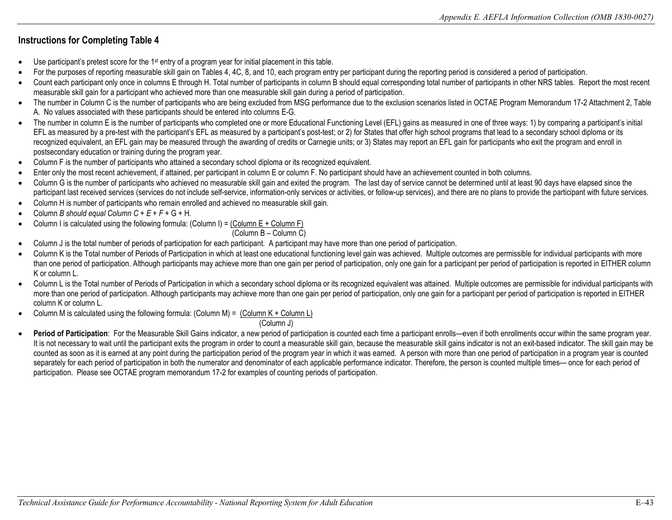- Use participant's pretest score for the 1<sup>st</sup> entry of a program year for initial placement in this table.
- For the purposes of reporting measurable skill gain on Tables 4, 4C, 8, and 10, each program entry per participant during the reporting period is considered a period of participation.
- • Count each participant only once in columns E through H. Total number of participants in column B should equal corresponding total number of participants in other NRS tables. Report the most recent measurable skill gain for a participant who achieved more than one measurable skill gain during a period of participation.
- A. No values associated with these participants should be entered into columns E-G. • The number in Column C is the number of participants who are being excluded from MSG performance due to the exclusion scenarios listed in OCTAE Program Memorandum 17-2 Attachment 2, Table
- The number in column E is the number of participants who completed one or more Educational Functioning Level (EFL) gains as measured in one of three ways: 1) by comparing a participant's initial EFL as measured by a pre-test with the participant's EFL as measured by a participant's post-test; or 2) for States that offer high school programs that lead to a secondary school diploma or its recognized equivalent, an EFL gain may be measured through the awarding of credits or Carnegie units; or 3) States may report an EFL gain for participants who exit the program and enroll in postsecondary education or training during the program year.
- Column F is the number of participants who attained a secondary school diploma or its recognized equivalent.
- Enter only the most recent achievement, if attained, per participant in column E or column F. No participant should have an achievement counted in both columns.
- participant last received services (services do not include self-service, information-only services or activities, or follow-up services), and there are no plans to provide the participant with future services. Column G is the number of participants who achieved no measurable skill gain and exited the program. The last day of service cannot be determined until at least 90 days have elapsed since the
- Column H is number of participants who remain enrolled and achieved no measurable skill gain.
- • Column *B should equal Column C + E + F* + G + H.
- Column I is calculated using the following formula: (Column I) =  $\frac{Colum E + Column F}{2}$

#### (Column B – Column C)

- Column J is the total number of periods of participation for each participant. A participant may have more than one period of participation.
- • Column K is the Total number of Periods of Participation in which at least one educational functioning level gain was achieved. Multiple outcomes are permissible for individual participants with more than one period of participation. Although participants may achieve more than one gain per period of participation, only one gain for a participant per period of participation is reported in EITHER column K or column L.
- Column L is the Total number of Periods of Participation in which a secondary school diploma or its recognized equivalent was attained. Multiple outcomes are permissible for individual participants with more than one period of participation. Although participants may achieve more than one gain per period of participation, only one gain for a participant per period of participation is reported in EITHER column K or column L.
- Column M is calculated using the following formula: (Column M) =  $\frac{Column K + Column}{2}$

(Column J)

Period of Participation: For the Measurable Skill Gains indicator, a new period of participation is counted each time a participant enrolls—even if both enrollments occur within the same program year. It is not necessary to wait until the participant exits the program in order to count a measurable skill gain, because the measurable skill gains indicator is not an exit-based indicator. The skill gain may be counted as soon as it is earned at any point during the participation period of the program year in which it was earned. A person with more than one period of participation in a program year is counted separately for each period of participation in both the numerator and denominator of each applicable performance indicator. Therefore, the person is counted multiple times— once for each period of participation. Please see OCTAE program memorandum 17-2 for examples of counting periods of participation.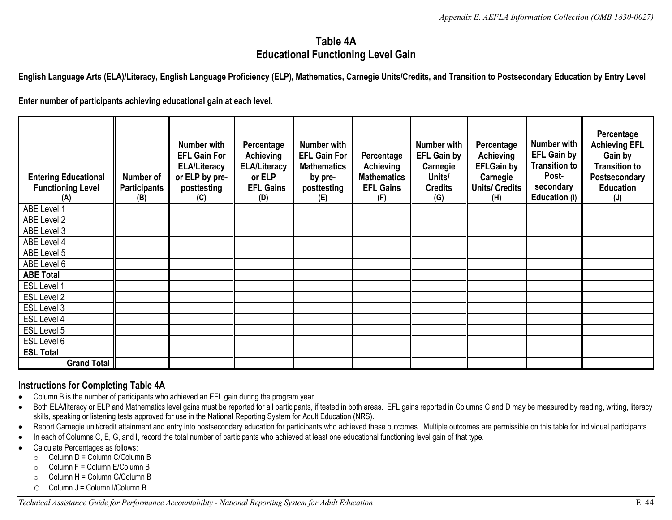# **Table 4A Educational Functioning Level Gain**

**English Language Arts (ELA)/Literacy, English Language Proficiency (ELP), Mathematics, Carnegie Units/Credits, and Transition to Postsecondary Education by Entry Level** 

**Enter number of participants achieving educational gain at each level.** 

| <b>Entering Educational</b><br><b>Functioning Level</b><br>(A) | Number of<br><b>Participants</b><br>(B) | <b>Number with</b><br><b>EFL Gain For</b><br><b>ELA/Literacy</b><br>or ELP by pre-<br>posttesting<br>(C) | Percentage<br><b>Achieving</b><br><b>ELA/Literacy</b><br>or ELP<br><b>EFL Gains</b><br>(D) | <b>Number with</b><br><b>EFL Gain For</b><br><b>Mathematics</b><br>by pre-<br>posttesting<br>(E) | Percentage<br><b>Achieving</b><br><b>Mathematics</b><br><b>EFL Gains</b><br>(F) | Number with<br><b>EFL Gain by</b><br>Carnegie<br>Units/<br><b>Credits</b><br>(G) | Percentage<br>Achieving<br><b>EFLGain by</b><br>Carnegie<br><b>Units/ Credits</b><br>(H) | <b>Number with</b><br><b>EFL Gain by</b><br><b>Transition to</b><br>Post-<br>secondary<br>Education (I) | Percentage<br><b>Achieving EFL</b><br>Gain by<br><b>Transition to</b><br>Postsecondary<br><b>Education</b><br>(J) |
|----------------------------------------------------------------|-----------------------------------------|----------------------------------------------------------------------------------------------------------|--------------------------------------------------------------------------------------------|--------------------------------------------------------------------------------------------------|---------------------------------------------------------------------------------|----------------------------------------------------------------------------------|------------------------------------------------------------------------------------------|---------------------------------------------------------------------------------------------------------|-------------------------------------------------------------------------------------------------------------------|
| ABE Level 1                                                    |                                         |                                                                                                          |                                                                                            |                                                                                                  |                                                                                 |                                                                                  |                                                                                          |                                                                                                         |                                                                                                                   |
| ABE Level 2                                                    |                                         |                                                                                                          |                                                                                            |                                                                                                  |                                                                                 |                                                                                  |                                                                                          |                                                                                                         |                                                                                                                   |
| ABE Level 3                                                    |                                         |                                                                                                          |                                                                                            |                                                                                                  |                                                                                 |                                                                                  |                                                                                          |                                                                                                         |                                                                                                                   |
| ABE Level 4                                                    |                                         |                                                                                                          |                                                                                            |                                                                                                  |                                                                                 |                                                                                  |                                                                                          |                                                                                                         |                                                                                                                   |
| ABE Level 5                                                    |                                         |                                                                                                          |                                                                                            |                                                                                                  |                                                                                 |                                                                                  |                                                                                          |                                                                                                         |                                                                                                                   |
| ABE Level 6                                                    |                                         |                                                                                                          |                                                                                            |                                                                                                  |                                                                                 |                                                                                  |                                                                                          |                                                                                                         |                                                                                                                   |
| <b>ABE Total</b>                                               |                                         |                                                                                                          |                                                                                            |                                                                                                  |                                                                                 |                                                                                  |                                                                                          |                                                                                                         |                                                                                                                   |
| <b>ESL Level 1</b>                                             |                                         |                                                                                                          |                                                                                            |                                                                                                  |                                                                                 |                                                                                  |                                                                                          |                                                                                                         |                                                                                                                   |
| ESL Level 2                                                    |                                         |                                                                                                          |                                                                                            |                                                                                                  |                                                                                 |                                                                                  |                                                                                          |                                                                                                         |                                                                                                                   |
| ESL Level 3                                                    |                                         |                                                                                                          |                                                                                            |                                                                                                  |                                                                                 |                                                                                  |                                                                                          |                                                                                                         |                                                                                                                   |
| ESL Level 4                                                    |                                         |                                                                                                          |                                                                                            |                                                                                                  |                                                                                 |                                                                                  |                                                                                          |                                                                                                         |                                                                                                                   |
| ESL Level 5                                                    |                                         |                                                                                                          |                                                                                            |                                                                                                  |                                                                                 |                                                                                  |                                                                                          |                                                                                                         |                                                                                                                   |
| ESL Level 6                                                    |                                         |                                                                                                          |                                                                                            |                                                                                                  |                                                                                 |                                                                                  |                                                                                          |                                                                                                         |                                                                                                                   |
| <b>ESL Total</b>                                               |                                         |                                                                                                          |                                                                                            |                                                                                                  |                                                                                 |                                                                                  |                                                                                          |                                                                                                         |                                                                                                                   |
| <b>Grand Total</b>                                             |                                         |                                                                                                          |                                                                                            |                                                                                                  |                                                                                 |                                                                                  |                                                                                          |                                                                                                         |                                                                                                                   |

#### **Instructions for Completing Table 4A**

- Column B is the number of participants who achieved an EFL gain during the program year.
- Both ELA/literacy or ELP and Mathematics level gains must be reported for all participants, if tested in both areas. EFL gains reported in Columns C and D may be measured by reading, writing, literacy skills, speaking or listening tests approved for use in the National Reporting System for Adult Education (NRS).
- • Report Carnegie unit/credit attainment and entry into postsecondary education for participants who achieved these outcomes. Multiple outcomes are permissible on this table for individual participants.
- In each of Columns C, E, G, and I, record the total number of participants who achieved at least one educational functioning level gain of that type.
- Calculate Percentages as follows:
	- $\circ$  Column D = Column C/Column B
	- $\circ$  Column F = Column E/Column B
	- $\circ$  Column H = Column G/Column B
	- $\circ$  Column J = Column I/Column B

*Technical Assistance Guide for Performance Accountability - National Reporting System for Adult Education* E–44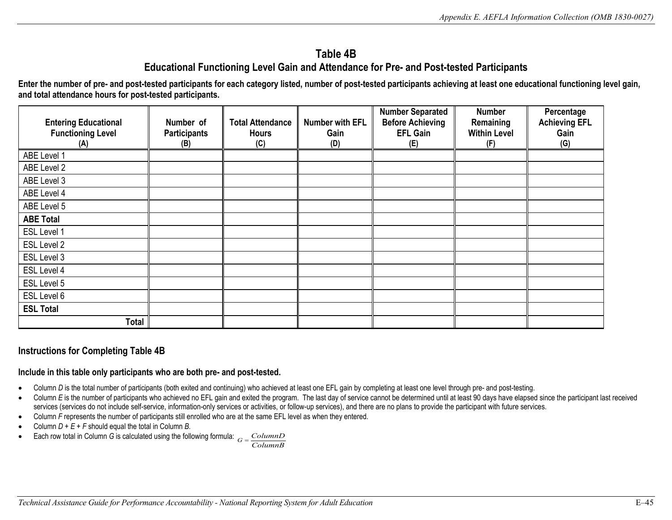# **Table 4B Educational Functioning Level Gain and Attendance for Pre- and Post-tested Participants**

**Enter the number of pre- and post-tested participants for each category listed, number of post-tested participants achieving at least one educational functioning level gain, and total attendance hours for post-tested participants.** 

| <b>Entering Educational</b><br><b>Functioning Level</b><br>(A) | Number of<br><b>Participants</b><br>(B) | <b>Total Attendance</b><br><b>Hours</b><br>(C) | <b>Number with EFL</b><br>Gain<br>(D) | <b>Number Separated</b><br><b>Before Achieving</b><br><b>EFL Gain</b><br>(E) | <b>Number</b><br>Remaining<br><b>Within Level</b><br>(F) | Percentage<br><b>Achieving EFL</b><br>Gain<br>(G) |
|----------------------------------------------------------------|-----------------------------------------|------------------------------------------------|---------------------------------------|------------------------------------------------------------------------------|----------------------------------------------------------|---------------------------------------------------|
| ABE Level 1                                                    |                                         |                                                |                                       |                                                                              |                                                          |                                                   |
|                                                                |                                         |                                                |                                       |                                                                              |                                                          |                                                   |
| ABE Level 2                                                    |                                         |                                                |                                       |                                                                              |                                                          |                                                   |
| ABE Level 3                                                    |                                         |                                                |                                       |                                                                              |                                                          |                                                   |
| ABE Level 4                                                    |                                         |                                                |                                       |                                                                              |                                                          |                                                   |
| ABE Level 5                                                    |                                         |                                                |                                       |                                                                              |                                                          |                                                   |
| <b>ABE Total</b>                                               |                                         |                                                |                                       |                                                                              |                                                          |                                                   |
| ESL Level 1                                                    |                                         |                                                |                                       |                                                                              |                                                          |                                                   |
| ESL Level 2                                                    |                                         |                                                |                                       |                                                                              |                                                          |                                                   |
| ESL Level 3                                                    |                                         |                                                |                                       |                                                                              |                                                          |                                                   |
| ESL Level 4                                                    |                                         |                                                |                                       |                                                                              |                                                          |                                                   |
| ESL Level 5                                                    |                                         |                                                |                                       |                                                                              |                                                          |                                                   |
| ESL Level 6                                                    |                                         |                                                |                                       |                                                                              |                                                          |                                                   |
| <b>ESL Total</b>                                               |                                         |                                                |                                       |                                                                              |                                                          |                                                   |
| <b>Total</b>                                                   |                                         |                                                |                                       |                                                                              |                                                          |                                                   |

### **Instructions for Completing Table 4B**

#### **Include in this table only participants who are both pre- and post-tested.**

- Column *D* is the total number of participants (both exited and continuing) who achieved at least one EFL gain by completing at least one level through pre- and post-testing.
- services (services do not include self-service, information-only services or activities, or follow-up services), and there are no plans to provide the participant with future services. • Column *E* is the number of participants who achieved no EFL gain and exited the program. The last day of service cannot be determined until at least 90 days have elapsed since the participant last received
- Column *F* represents the number of participants still enrolled who are at the same EFL level as when they entered.
- • Column *D + E + F* should equal the total in Column *B.*
- Each row total in Column *G* is calculated using the following formula:  $G = \frac{ColumnD}{ColumnB}$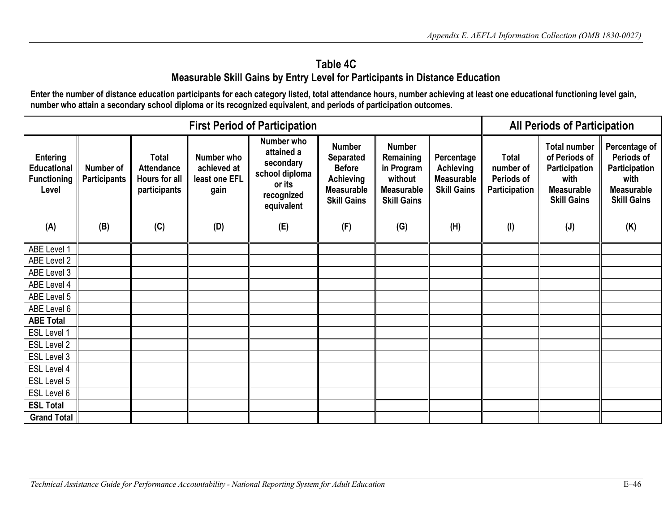# **Table 4C Measurable Skill Gains by Entry Level for Participants in Distance Education**

 **Enter the number of distance education participants for each category listed, total attendance hours, number achieving at least one educational functioning level gain, number who attain a secondary school diploma or its recognized equivalent, and periods of participation outcomes.** 

|                                                                      |                                  |                                                                    | <b>All Periods of Participation</b>                |                                                                                               |                                                                                                                   |                                                                                                |                                                                           |                                                          |                                                                                                          |                                                                                                 |
|----------------------------------------------------------------------|----------------------------------|--------------------------------------------------------------------|----------------------------------------------------|-----------------------------------------------------------------------------------------------|-------------------------------------------------------------------------------------------------------------------|------------------------------------------------------------------------------------------------|---------------------------------------------------------------------------|----------------------------------------------------------|----------------------------------------------------------------------------------------------------------|-------------------------------------------------------------------------------------------------|
| <b>Entering</b><br><b>Educational</b><br><b>Functioning</b><br>Level | Number of<br><b>Participants</b> | <b>Total</b><br><b>Attendance</b><br>Hours for all<br>participants | Number who<br>achieved at<br>least one EFL<br>gain | Number who<br>attained a<br>secondary<br>school diploma<br>or its<br>recognized<br>equivalent | <b>Number</b><br><b>Separated</b><br><b>Before</b><br><b>Achieving</b><br><b>Measurable</b><br><b>Skill Gains</b> | <b>Number</b><br>Remaining<br>in Program<br>without<br><b>Measurable</b><br><b>Skill Gains</b> | Percentage<br><b>Achieving</b><br><b>Measurable</b><br><b>Skill Gains</b> | <b>Total</b><br>number of<br>Periods of<br>Participation | <b>Total number</b><br>of Periods of<br>Participation<br>with<br><b>Measurable</b><br><b>Skill Gains</b> | Percentage of<br>Periods of<br>Participation<br>with<br><b>Measurable</b><br><b>Skill Gains</b> |
| (A)                                                                  | (B)                              | (C)                                                                | (D)                                                | (E)                                                                                           | (F)                                                                                                               | (G)                                                                                            | (H)                                                                       | (1)                                                      | (J)                                                                                                      | (K)                                                                                             |
| ABE Level 1                                                          |                                  |                                                                    |                                                    |                                                                                               |                                                                                                                   |                                                                                                |                                                                           |                                                          |                                                                                                          |                                                                                                 |
| ABE Level 2                                                          |                                  |                                                                    |                                                    |                                                                                               |                                                                                                                   |                                                                                                |                                                                           |                                                          |                                                                                                          |                                                                                                 |
| ABE Level 3                                                          |                                  |                                                                    |                                                    |                                                                                               |                                                                                                                   |                                                                                                |                                                                           |                                                          |                                                                                                          |                                                                                                 |
| ABE Level 4                                                          |                                  |                                                                    |                                                    |                                                                                               |                                                                                                                   |                                                                                                |                                                                           |                                                          |                                                                                                          |                                                                                                 |
| ABE Level 5                                                          |                                  |                                                                    |                                                    |                                                                                               |                                                                                                                   |                                                                                                |                                                                           |                                                          |                                                                                                          |                                                                                                 |
| ABE Level 6                                                          |                                  |                                                                    |                                                    |                                                                                               |                                                                                                                   |                                                                                                |                                                                           |                                                          |                                                                                                          |                                                                                                 |
| <b>ABE Total</b>                                                     |                                  |                                                                    |                                                    |                                                                                               |                                                                                                                   |                                                                                                |                                                                           |                                                          |                                                                                                          |                                                                                                 |
| ESL Level 1                                                          |                                  |                                                                    |                                                    |                                                                                               |                                                                                                                   |                                                                                                |                                                                           |                                                          |                                                                                                          |                                                                                                 |
| ESL Level 2                                                          |                                  |                                                                    |                                                    |                                                                                               |                                                                                                                   |                                                                                                |                                                                           |                                                          |                                                                                                          |                                                                                                 |
| ESL Level 3                                                          |                                  |                                                                    |                                                    |                                                                                               |                                                                                                                   |                                                                                                |                                                                           |                                                          |                                                                                                          |                                                                                                 |
| ESL Level 4                                                          |                                  |                                                                    |                                                    |                                                                                               |                                                                                                                   |                                                                                                |                                                                           |                                                          |                                                                                                          |                                                                                                 |
| ESL Level 5                                                          |                                  |                                                                    |                                                    |                                                                                               |                                                                                                                   |                                                                                                |                                                                           |                                                          |                                                                                                          |                                                                                                 |
| ESL Level 6                                                          |                                  |                                                                    |                                                    |                                                                                               |                                                                                                                   |                                                                                                |                                                                           |                                                          |                                                                                                          |                                                                                                 |
| <b>ESL Total</b>                                                     |                                  |                                                                    |                                                    |                                                                                               |                                                                                                                   |                                                                                                |                                                                           |                                                          |                                                                                                          |                                                                                                 |
| <b>Grand Total</b>                                                   |                                  |                                                                    |                                                    |                                                                                               |                                                                                                                   |                                                                                                |                                                                           |                                                          |                                                                                                          |                                                                                                 |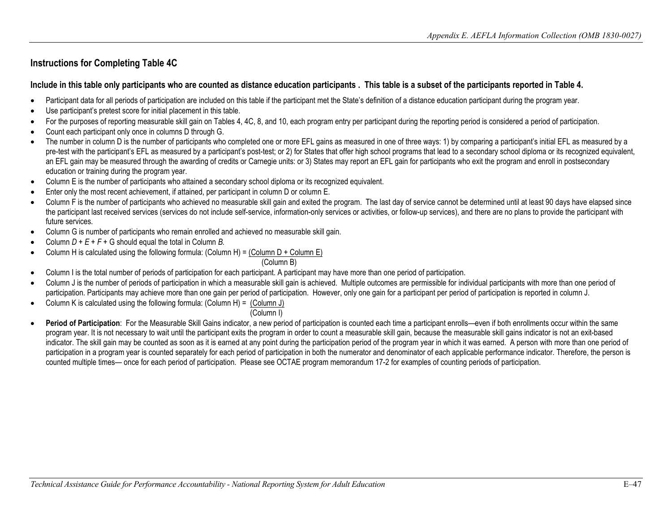#### **Include in this table only participants who are counted as distance education participants . This table is a subset of the participants reported in Table 4.**

- • Participant data for all periods of participation are included on this table if the participant met the State's definition of a distance education participant during the program year.
- Use participant's pretest score for initial placement in this table.
- For the purposes of reporting measurable skill gain on Tables 4, 4C, 8, and 10, each program entry per participant during the reporting period is considered a period of participation.
- Count each participant only once in columns D through G.
- education or training during the program year. • The number in column D is the number of participants who completed one or more EFL gains as measured in one of three ways: 1) by comparing a participant's initial EFL as measured by a pre-test with the participant's EFL as measured by a participant's post-test; or 2) for States that offer high school programs that lead to a secondary school diploma or its recognized equivalent, an EFL gain may be measured through the awarding of credits or Carnegie units: or 3) States may report an EFL gain for participants who exit the program and enroll in postsecondary
- Column E is the number of participants who attained a secondary school diploma or its recognized equivalent.
- Enter only the most recent achievement, if attained, per participant in column D or column E.
- the participant last received services (services do not include self-service, information-only services or activities, or follow-up services), and there are no plans to provide the participant with • Column F is the number of participants who achieved no measurable skill gain and exited the program. The last day of service cannot be determined until at least 90 days have elapsed since future services.
- Column G is number of participants who remain enrolled and achieved no measurable skill gain.
- Column  $D + E + F + G$  should equal the total in Column *B*.
- Column H is calculated using the following formula: (Column H) = (Column D + Column E)

(Column B)

- Column I is the total number of periods of participation for each participant. A participant may have more than one period of participation.
- • Column J is the number of periods of participation in which a measurable skill gain is achieved. Multiple outcomes are permissible for individual participants with more than one period of participation. Participants may achieve more than one gain per period of participation. However, only one gain for a participant per period of participation is reported in column J.
- Column K is calculated using the following formula: (Column H) =  $\frac{(\text{Column J})}{\text{Column J}}$

(Column I)

• **Period of Participation**: For the Measurable Skill Gains indicator, a new period of participation is counted each time a participant enrolls—even if both enrollments occur within the same program year. It is not necessary to wait until the participant exits the program in order to count a measurable skill gain, because the measurable skill gains indicator is not an exit-based indicator. The skill gain may be counted as soon as it is earned at any point during the participation period of the program year in which it was earned. A person with more than one period of participation in a program year is counted separately for each period of participation in both the numerator and denominator of each applicable performance indicator. Therefore, the person is counted multiple times— once for each period of participation. Please see OCTAE program memorandum 17-2 for examples of counting periods of participation.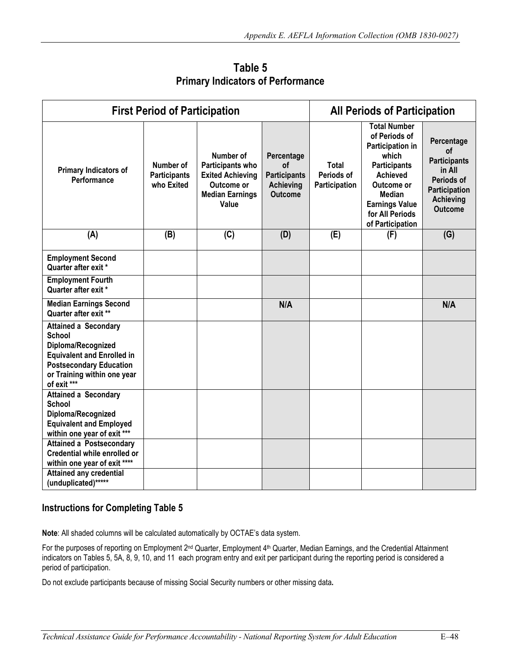|                                                                                                                                                                                         | <b>First Period of Participation</b>           |                                                                                                           | <b>All Periods of Participation</b>                                           |                                             |                                                                                                                                                                                                            |                                                                                                                 |
|-----------------------------------------------------------------------------------------------------------------------------------------------------------------------------------------|------------------------------------------------|-----------------------------------------------------------------------------------------------------------|-------------------------------------------------------------------------------|---------------------------------------------|------------------------------------------------------------------------------------------------------------------------------------------------------------------------------------------------------------|-----------------------------------------------------------------------------------------------------------------|
| Primary Indicators of<br>Performance                                                                                                                                                    | Number of<br><b>Participants</b><br>who Exited | Number of<br>Participants who<br><b>Exited Achieving</b><br>Outcome or<br><b>Median Earnings</b><br>Value | Percentage<br>οf<br><b>Participants</b><br><b>Achieving</b><br><b>Outcome</b> | <b>Total</b><br>Periods of<br>Participation | <b>Total Number</b><br>of Periods of<br>Participation in<br>which<br><b>Participants</b><br><b>Achieved</b><br>Outcome or<br><b>Median</b><br><b>Earnings Value</b><br>for All Periods<br>of Participation | Percentage<br>of<br><b>Participants</b><br>in All<br>Periods of<br>Participation<br>Achieving<br><b>Outcome</b> |
| (A)                                                                                                                                                                                     | (B)                                            | (C)                                                                                                       | (D)                                                                           | (E)                                         | (F)                                                                                                                                                                                                        | (G)                                                                                                             |
| <b>Employment Second</b><br>Quarter after exit *                                                                                                                                        |                                                |                                                                                                           |                                                                               |                                             |                                                                                                                                                                                                            |                                                                                                                 |
| <b>Employment Fourth</b><br>Quarter after exit *                                                                                                                                        |                                                |                                                                                                           |                                                                               |                                             |                                                                                                                                                                                                            |                                                                                                                 |
| <b>Median Earnings Second</b><br>Quarter after exit **                                                                                                                                  |                                                |                                                                                                           | N/A                                                                           |                                             |                                                                                                                                                                                                            | N/A                                                                                                             |
| <b>Attained a Secondary</b><br><b>School</b><br>Diploma/Recognized<br><b>Equivalent and Enrolled in</b><br><b>Postsecondary Education</b><br>or Training within one year<br>of exit *** |                                                |                                                                                                           |                                                                               |                                             |                                                                                                                                                                                                            |                                                                                                                 |
| <b>Attained a Secondary</b><br><b>School</b><br>Diploma/Recognized<br><b>Equivalent and Employed</b><br>within one year of exit ***                                                     |                                                |                                                                                                           |                                                                               |                                             |                                                                                                                                                                                                            |                                                                                                                 |
| <b>Attained a Postsecondary</b><br>Credential while enrolled or<br>within one year of exit ****                                                                                         |                                                |                                                                                                           |                                                                               |                                             |                                                                                                                                                                                                            |                                                                                                                 |
| <b>Attained any credential</b><br>(unduplicated)******                                                                                                                                  |                                                |                                                                                                           |                                                                               |                                             |                                                                                                                                                                                                            |                                                                                                                 |

 **Primary Indicators of Performance Table 5**

**Note**: All shaded columns will be calculated automatically by OCTAE's data system.

For the purposes of reporting on Employment 2<sup>nd</sup> Quarter, Employment 4<sup>th</sup> Quarter, Median Earnings, and the Credential Attainment indicators on Tables 5, 5A, 8, 9, 10, and 11 each program entry and exit per participant during the reporting period is considered a period of participation.

Do not exclude participants because of missing Social Security numbers or other missing data**.**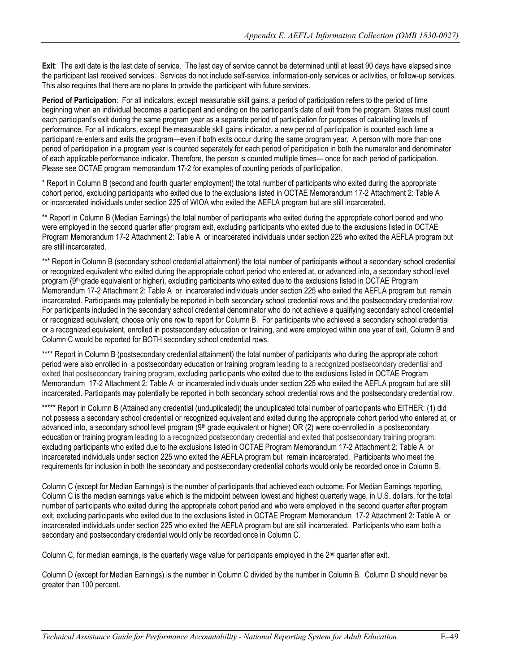the participant last received services. Services do not include self-service, information-only services or activities, or follow-up services.<br>This also requires that there are no plans to provide the participant with futu **Exit**: The exit date is the last date of service. The last day of service cannot be determined until at least 90 days have elapsed since

 participant re-enters and exits the program—even if both exits occur during the same program year. A person with more than one **Period of Participation**: For all indicators, except measurable skill gains, a period of participation refers to the period of time beginning when an individual becomes a participant and ending on the participant's date of exit from the program. States must count each participant's exit during the same program year as a separate period of participation for purposes of calculating levels of performance. For all indicators, except the measurable skill gains indicator, a new period of participation is counted each time a period of participation in a program year is counted separately for each period of participation in both the numerator and denominator of each applicable performance indicator. Therefore, the person is counted multiple times— once for each period of participation. Please see OCTAE program memorandum 17-2 for examples of counting periods of participation.

 or incarcerated individuals under section 225 of WIOA who exited the AEFLA program but are still incarcerated. \* Report in Column B (second and fourth quarter employment) the total number of participants who exited during the appropriate cohort period, excluding participants who exited due to the exclusions listed in OCTAE Memorandum 17-2 Attachment 2: Table A

\*\* Report in Column B (Median Earnings) the total number of participants who exited during the appropriate cohort period and who were employed in the second quarter after program exit, excluding participants who exited due to the exclusions listed in OCTAE Program Memorandum 17-2 Attachment 2: Table A or incarcerated individuals under section 225 who exited the AEFLA program but are still incarcerated.

 \*\*\* Report in Column B (secondary school credential attainment) the total number of participants without a secondary school credential Memorandum 17-2 Attachment 2: Table A or incarcerated individuals under section 225 who exited the AEFLA program but remain or recognized equivalent who exited during the appropriate cohort period who entered at, or advanced into, a secondary school level program (9th grade equivalent or higher), excluding participants who exited due to the exclusions listed in OCTAE Program incarcerated. Participants may potentially be reported in both secondary school credential rows and the postsecondary credential row. For participants included in the secondary school credential denominator who do not achieve a qualifying secondary school credential or recognized equivalent, choose only one row to report for Column B. For participants who achieved a secondary school credential or a recognized equivalent, enrolled in postsecondary education or training, and were employed within one year of exit, Column B and Column C would be reported for BOTH secondary school credential rows.

 \*\*\*\* Report in Column B (postsecondary credential attainment) the total number of participants who during the appropriate cohort incarcerated. Participants may potentially be reported in both secondary school credential rows and the postsecondary credential row. period were also enrolled in a postsecondary education or training program leading to a recognized postsecondary credential and exited that postsecondary training program, excluding participants who exited due to the exclusions listed in OCTAE Program Memorandum 17-2 Attachment 2: Table A or incarcerated individuals under section 225 who exited the AEFLA program but are still

 requirements for inclusion in both the secondary and postsecondary credential cohorts would only be recorded once in Column B. \*\*\*\*\* Report in Column B (Attained any credential (unduplicated)) the unduplicated total number of participants who EITHER: (1) did not possess a secondary school credential or recognized equivalent and exited during the appropriate cohort period who entered at, or advanced into, a secondary school level program (9<sup>th</sup> grade equivalent or higher) OR (2) were co-enrolled in a postsecondary education or training program leading to a recognized postsecondary credential and exited that postsecondary training program; excluding participants who exited due to the exclusions listed in OCTAE Program Memorandum 17-2 Attachment 2: Table A or incarcerated individuals under section 225 who exited the AEFLA program but remain incarcerated. Participants who meet the

 incarcerated individuals under section 225 who exited the AEFLA program but are still incarcerated. Participants who earn both a secondary and postsecondary credential would only be recorded once in Column C. Column C (except for Median Earnings) is the number of participants that achieved each outcome. For Median Earnings reporting, Column C is the median earnings value which is the midpoint between lowest and highest quarterly wage, in U.S. dollars, for the total number of participants who exited during the appropriate cohort period and who were employed in the second quarter after program exit, excluding participants who exited due to the exclusions listed in OCTAE Program Memorandum 17-2 Attachment 2: Table A or

Column C, for median earnings, is the quarterly wage value for participants employed in the 2<sup>nd</sup> quarter after exit.

 greater than 100 percent. Column D (except for Median Earnings) is the number in Column C divided by the number in Column B. Column D should never be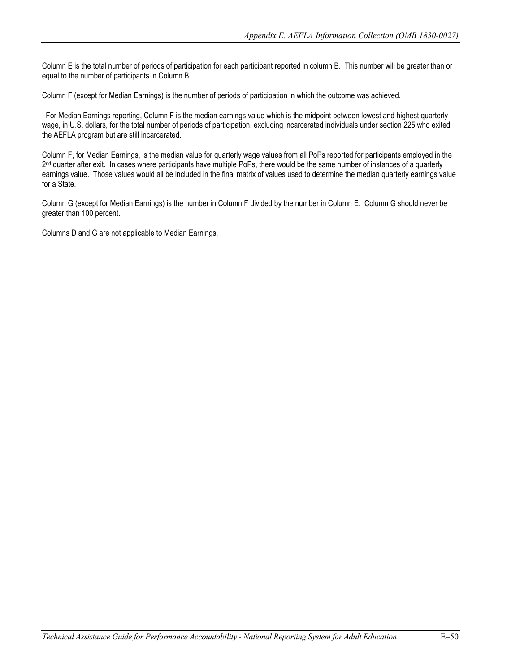Column E is the total number of periods of participation for each participant reported in column B. This number will be greater than or equal to the number of participants in Column B.

Column F (except for Median Earnings) is the number of periods of participation in which the outcome was achieved.

. For Median Earnings reporting, Column F is the median earnings value which is the midpoint between lowest and highest quarterly wage, in U.S. dollars, for the total number of periods of participation, excluding incarcerated individuals under section 225 who exited the AEFLA program but are still incarcerated.

Column F, for Median Earnings, is the median value for quarterly wage values from all PoPs reported for participants employed in the 2<sup>nd</sup> quarter after exit. In cases where participants have multiple PoPs, there would be the same number of instances of a quarterly earnings value. Those values would all be included in the final matrix of values used to determine the median quarterly earnings value for a State.

greater than 100 percent. Column G (except for Median Earnings) is the number in Column F divided by the number in Column E. Column G should never be

Columns D and G are not applicable to Median Earnings.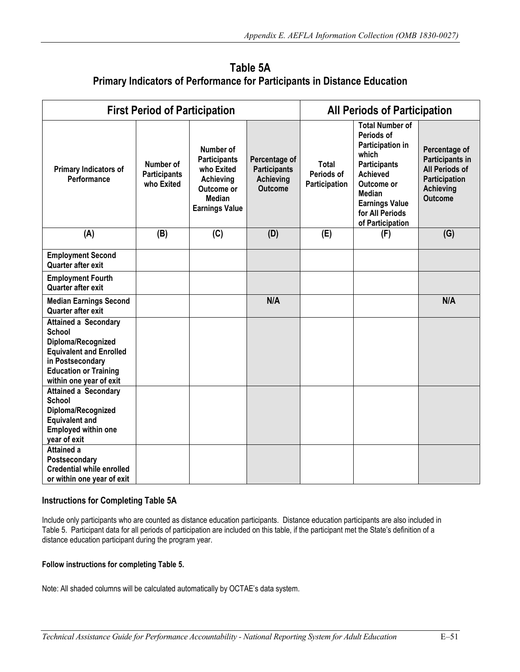| Table 5A                                                                        |
|---------------------------------------------------------------------------------|
| <b>Primary Indicators of Performance for Participants in Distance Education</b> |

|                                                                                                                                                                                     | <b>First Period of Participation</b>           |                                                                                                                     | <b>All Periods of Participation</b>                                        |                                      |                                                                                                                                                                                                            |                                                                                                                         |
|-------------------------------------------------------------------------------------------------------------------------------------------------------------------------------------|------------------------------------------------|---------------------------------------------------------------------------------------------------------------------|----------------------------------------------------------------------------|--------------------------------------|------------------------------------------------------------------------------------------------------------------------------------------------------------------------------------------------------------|-------------------------------------------------------------------------------------------------------------------------|
| Primary Indicators of<br>Performance                                                                                                                                                | Number of<br><b>Participants</b><br>who Exited | Number of<br><b>Participants</b><br>who Exited<br>Achieving<br>Outcome or<br><b>Median</b><br><b>Earnings Value</b> | Percentage of<br><b>Participants</b><br><b>Achieving</b><br><b>Outcome</b> | Total<br>Periods of<br>Participation | <b>Total Number of</b><br>Periods of<br>Participation in<br>which<br><b>Participants</b><br><b>Achieved</b><br>Outcome or<br><b>Median</b><br><b>Earnings Value</b><br>for All Periods<br>of Participation | Percentage of<br>Participants in<br><b>All Periods of</b><br><b>Participation</b><br><b>Achieving</b><br><b>Outcome</b> |
| (A)                                                                                                                                                                                 | (B)                                            | (C)                                                                                                                 | (D)                                                                        | (E)                                  | (F)                                                                                                                                                                                                        | (G)                                                                                                                     |
| <b>Employment Second</b><br>Quarter after exit                                                                                                                                      |                                                |                                                                                                                     |                                                                            |                                      |                                                                                                                                                                                                            |                                                                                                                         |
| <b>Employment Fourth</b><br>Quarter after exit                                                                                                                                      |                                                |                                                                                                                     |                                                                            |                                      |                                                                                                                                                                                                            |                                                                                                                         |
| <b>Median Earnings Second</b><br>Quarter after exit                                                                                                                                 |                                                |                                                                                                                     | N/A                                                                        |                                      |                                                                                                                                                                                                            | N/A                                                                                                                     |
| <b>Attained a Secondary</b><br><b>School</b><br>Diploma/Recognized<br><b>Equivalent and Enrolled</b><br>in Postsecondary<br><b>Education or Training</b><br>within one year of exit |                                                |                                                                                                                     |                                                                            |                                      |                                                                                                                                                                                                            |                                                                                                                         |
| <b>Attained a Secondary</b><br><b>School</b><br>Diploma/Recognized<br><b>Equivalent and</b><br><b>Employed within one</b><br>year of exit                                           |                                                |                                                                                                                     |                                                                            |                                      |                                                                                                                                                                                                            |                                                                                                                         |
| <b>Attained a</b><br>Postsecondary<br><b>Credential while enrolled</b><br>or within one year of exit                                                                                |                                                |                                                                                                                     |                                                                            |                                      |                                                                                                                                                                                                            |                                                                                                                         |

Include only participants who are counted as distance education participants. Distance education participants are also included in Table 5. Participant data for all periods of participation are included on this table, if the participant met the State's definition of a distance education participant during the program year.

#### **Follow instructions for completing Table 5.**

Note: All shaded columns will be calculated automatically by OCTAE's data system.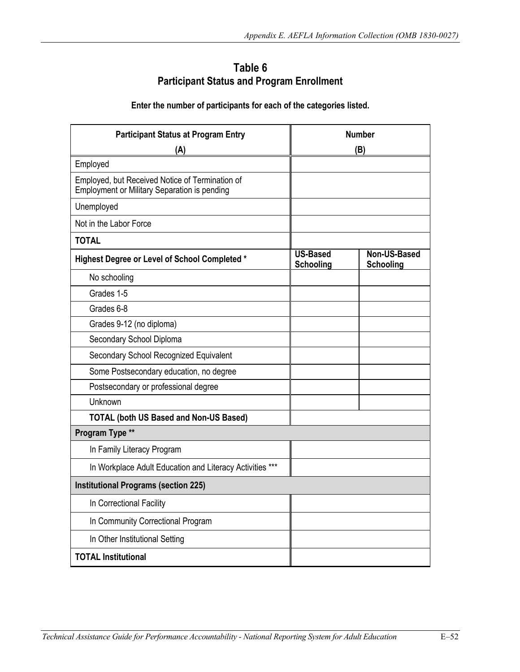# **Participant Status and Program Enrollment Table 6**

### **Enter the number of participants for each of the categories listed.**

| <b>Participant Status at Program Entry</b><br>(A)                                                      | <b>Number</b><br>(B)                |                           |  |  |  |
|--------------------------------------------------------------------------------------------------------|-------------------------------------|---------------------------|--|--|--|
| Employed                                                                                               |                                     |                           |  |  |  |
| Employed, but Received Notice of Termination of<br><b>Employment or Military Separation is pending</b> |                                     |                           |  |  |  |
| Unemployed                                                                                             |                                     |                           |  |  |  |
| Not in the Labor Force                                                                                 |                                     |                           |  |  |  |
| <b>TOTAL</b>                                                                                           |                                     |                           |  |  |  |
| <b>Highest Degree or Level of School Completed *</b>                                                   | <b>US-Based</b><br><b>Schooling</b> | Non-US-Based<br>Schooling |  |  |  |
| No schooling                                                                                           |                                     |                           |  |  |  |
| Grades 1-5                                                                                             |                                     |                           |  |  |  |
| Grades 6-8                                                                                             |                                     |                           |  |  |  |
| Grades 9-12 (no diploma)                                                                               |                                     |                           |  |  |  |
| Secondary School Diploma                                                                               |                                     |                           |  |  |  |
| Secondary School Recognized Equivalent                                                                 |                                     |                           |  |  |  |
| Some Postsecondary education, no degree                                                                |                                     |                           |  |  |  |
| Postsecondary or professional degree                                                                   |                                     |                           |  |  |  |
| Unknown                                                                                                |                                     |                           |  |  |  |
| <b>TOTAL (both US Based and Non-US Based)</b>                                                          |                                     |                           |  |  |  |
| Program Type **                                                                                        |                                     |                           |  |  |  |
| In Family Literacy Program                                                                             |                                     |                           |  |  |  |
| In Workplace Adult Education and Literacy Activities ***                                               |                                     |                           |  |  |  |
| <b>Institutional Programs (section 225)</b>                                                            |                                     |                           |  |  |  |
| In Correctional Facility                                                                               |                                     |                           |  |  |  |
| In Community Correctional Program                                                                      |                                     |                           |  |  |  |
| In Other Institutional Setting                                                                         |                                     |                           |  |  |  |
| <b>TOTAL Institutional</b>                                                                             |                                     |                           |  |  |  |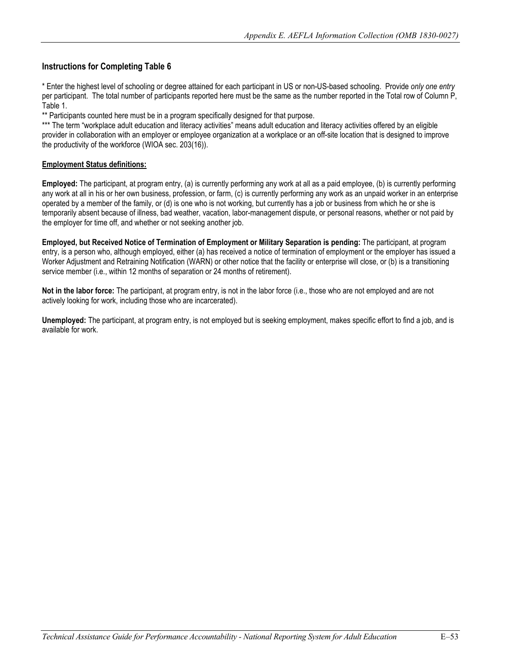per participant. The total number of participants reported here must be the same as the number reported in the Total row of Column P, \* Enter the highest level of schooling or degree attained for each participant in US or non-US-based schooling. Provide *only one entry* Table 1.

\*\* Participants counted here must be in a program specifically designed for that purpose.

\*\*\* The term "workplace adult education and literacy activities" means adult education and literacy activities offered by an eligible provider in collaboration with an employer or employee organization at a workplace or an off-site location that is designed to improve the productivity of the workforce (WIOA sec. 203(16)).

#### **Employment Status definitions:**

**Employed:** The participant, at program entry, (a) is currently performing any work at all as a paid employee, (b) is currently performing any work at all in his or her own business, profession, or farm, (c) is currently performing any work as an unpaid worker in an enterprise operated by a member of the family, or (d) is one who is not working, but currently has a job or business from which he or she is temporarily absent because of illness, bad weather, vacation, labor-management dispute, or personal reasons, whether or not paid by the employer for time off, and whether or not seeking another job.

**Employed, but Received Notice of Termination of Employment or Military Separation is pending:** The participant, at program entry, is a person who, although employed, either (a) has received a notice of termination of employment or the employer has issued a Worker Adjustment and Retraining Notification (WARN) or other notice that the facility or enterprise will close, or (b) is a transitioning service member (i.e., within 12 months of separation or 24 months of retirement).

**Not in the labor force:** The participant, at program entry, is not in the labor force (i.e., those who are not employed and are not actively looking for work, including those who are incarcerated).

**Unemployed:** The participant, at program entry, is not employed but is seeking employment, makes specific effort to find a job, and is available for work.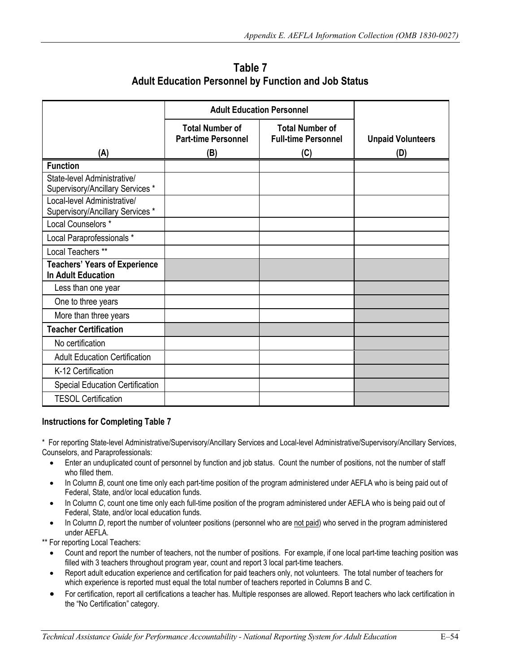**Adult Education Personnel by Function and Job Status Table 7**

|                                      | <b>Adult Education Personnel</b>                     |                                                      |                          |
|--------------------------------------|------------------------------------------------------|------------------------------------------------------|--------------------------|
|                                      | <b>Total Number of</b><br><b>Part-time Personnel</b> | <b>Total Number of</b><br><b>Full-time Personnel</b> | <b>Unpaid Volunteers</b> |
| (A)                                  | (B)                                                  | (C)                                                  | (D)                      |
| <b>Function</b>                      |                                                      |                                                      |                          |
| State-level Administrative/          |                                                      |                                                      |                          |
| Supervisory/Ancillary Services *     |                                                      |                                                      |                          |
| Local-level Administrative/          |                                                      |                                                      |                          |
| Supervisory/Ancillary Services *     |                                                      |                                                      |                          |
| Local Counselors *                   |                                                      |                                                      |                          |
| Local Paraprofessionals *            |                                                      |                                                      |                          |
| Local Teachers **                    |                                                      |                                                      |                          |
| <b>Teachers' Years of Experience</b> |                                                      |                                                      |                          |
| <b>In Adult Education</b>            |                                                      |                                                      |                          |
| Less than one year                   |                                                      |                                                      |                          |
| One to three years                   |                                                      |                                                      |                          |
| More than three years                |                                                      |                                                      |                          |
| <b>Teacher Certification</b>         |                                                      |                                                      |                          |
| No certification                     |                                                      |                                                      |                          |
| <b>Adult Education Certification</b> |                                                      |                                                      |                          |
| K-12 Certification                   |                                                      |                                                      |                          |
| Special Education Certification      |                                                      |                                                      |                          |
| <b>TESOL Certification</b>           |                                                      |                                                      |                          |

 \* For reporting State-level Administrative/Supervisory/Ancillary Services and Local-level Administrative/Supervisory/Ancillary Services, Counselors, and Paraprofessionals:

- who filled them. • Enter an unduplicated count of personnel by function and job status. Count the number of positions, not the number of staff
- Federal, State, and/or local education funds. • In Column *B*, count one time only each part-time position of the program administered under AEFLA who is being paid out of
- Federal, State, and/or local education funds. • In Column *C*, count one time only each full-time position of the program administered under AEFLA who is being paid out of
- under AEFLA. • In Column *D*, report the number of volunteer positions (personnel who are not paid) who served in the program administered

under AEFLA.<br>\*\* For reporting Local Teachers:

- Count and report the number of teachers, not the number of positions. For example, if one local part-time teaching position was filled with 3 teachers throughout program year, count and report 3 local part-time teachers.
- which experience is reported must equal the total number of teachers reported in Columns B and C. • Report adult education experience and certification for paid teachers only, not volunteers. The total number of teachers for
- • For certification, report all certifications a teacher has. Multiple responses are allowed. Report teachers who lack certification in the "No Certification" category.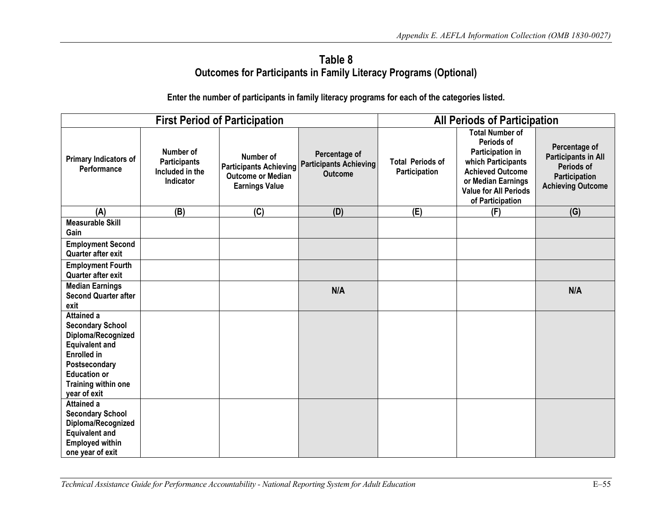# **Table 8 Outcomes for Participants in Family Literacy Programs (Optional)**

**Enter the number of participants in family literacy programs for each of the categories listed.** 

|                                                                                                                                                                                                  |                                                                  | <b>First Period of Participation</b>                                                            |                                                                  | <b>All Periods of Participation</b>      |                                                                                                                                                                                     |                                                                                                        |
|--------------------------------------------------------------------------------------------------------------------------------------------------------------------------------------------------|------------------------------------------------------------------|-------------------------------------------------------------------------------------------------|------------------------------------------------------------------|------------------------------------------|-------------------------------------------------------------------------------------------------------------------------------------------------------------------------------------|--------------------------------------------------------------------------------------------------------|
| Primary Indicators of<br>Performance                                                                                                                                                             | Number of<br><b>Participants</b><br>Included in the<br>Indicator | Number of<br><b>Participants Achieving</b><br><b>Outcome or Median</b><br><b>Earnings Value</b> | Percentage of<br><b>Participants Achieving</b><br><b>Outcome</b> | <b>Total Periods of</b><br>Participation | <b>Total Number of</b><br>Periods of<br>Participation in<br>which Participants<br><b>Achieved Outcome</b><br>or Median Earnings<br><b>Value for All Periods</b><br>of Participation | Percentage of<br><b>Participants in All</b><br>Periods of<br>Participation<br><b>Achieving Outcome</b> |
| (A)                                                                                                                                                                                              | (B)                                                              | (C)                                                                                             | (D)                                                              | (E)                                      | (F)                                                                                                                                                                                 | (G)                                                                                                    |
| <b>Measurable Skill</b><br>Gain                                                                                                                                                                  |                                                                  |                                                                                                 |                                                                  |                                          |                                                                                                                                                                                     |                                                                                                        |
| <b>Employment Second</b><br>Quarter after exit                                                                                                                                                   |                                                                  |                                                                                                 |                                                                  |                                          |                                                                                                                                                                                     |                                                                                                        |
| <b>Employment Fourth</b><br>Quarter after exit                                                                                                                                                   |                                                                  |                                                                                                 |                                                                  |                                          |                                                                                                                                                                                     |                                                                                                        |
| <b>Median Earnings</b><br><b>Second Quarter after</b><br>exit                                                                                                                                    |                                                                  |                                                                                                 | N/A                                                              |                                          |                                                                                                                                                                                     | N/A                                                                                                    |
| <b>Attained a</b><br><b>Secondary School</b><br>Diploma/Recognized<br><b>Equivalent and</b><br><b>Enrolled</b> in<br>Postsecondary<br><b>Education or</b><br>Training within one<br>year of exit |                                                                  |                                                                                                 |                                                                  |                                          |                                                                                                                                                                                     |                                                                                                        |
| <b>Attained a</b><br><b>Secondary School</b><br>Diploma/Recognized<br><b>Equivalent and</b><br><b>Employed within</b><br>one year of exit                                                        |                                                                  |                                                                                                 |                                                                  |                                          |                                                                                                                                                                                     |                                                                                                        |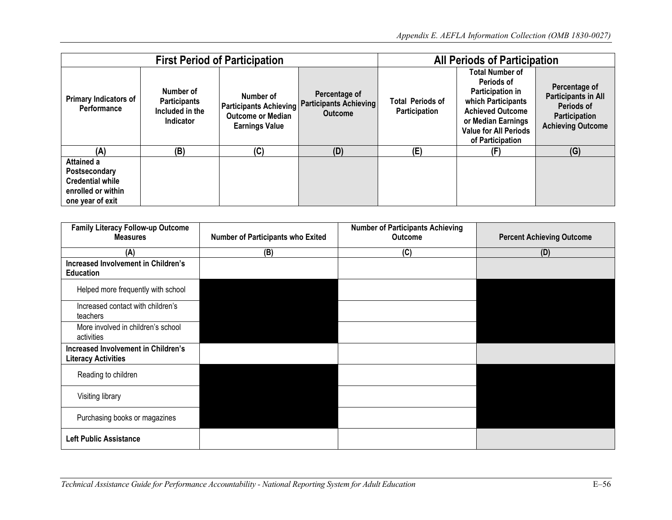| <b>First Period of Participation</b>                                                             |                                                                  |                                                                                                 |                                                                                                                                                                                                                                                                                                     | <b>All Periods of Participation</b> |                                                                                                               |     |
|--------------------------------------------------------------------------------------------------|------------------------------------------------------------------|-------------------------------------------------------------------------------------------------|-----------------------------------------------------------------------------------------------------------------------------------------------------------------------------------------------------------------------------------------------------------------------------------------------------|-------------------------------------|---------------------------------------------------------------------------------------------------------------|-----|
| Primary Indicators of<br>Performance                                                             | Number of<br><b>Participants</b><br>Included in the<br>Indicator | Number of<br><b>Participants Achieving</b><br><b>Outcome or Median</b><br><b>Earnings Value</b> | <b>Total Number of</b><br>Periods of<br>Participation in<br>Percentage of<br><b>Total Periods of</b><br>which Participants<br><b>Participants Achieving</b><br>Participation<br><b>Achieved Outcome</b><br><b>Outcome</b><br>or Median Earnings<br><b>Value for All Periods</b><br>of Participation |                                     | Percentage of<br><b>Participants in All</b><br>Periods of<br><b>Participation</b><br><b>Achieving Outcome</b> |     |
| (A)                                                                                              | (B)                                                              | (C)                                                                                             | (D)                                                                                                                                                                                                                                                                                                 | (E)                                 | (F)                                                                                                           | (G) |
| Attained a<br>Postsecondary<br><b>Credential while</b><br>enrolled or within<br>one year of exit |                                                                  |                                                                                                 |                                                                                                                                                                                                                                                                                                     |                                     |                                                                                                               |     |

| Family Literacy Follow-up Outcome                                        |                                          | <b>Number of Participants Achieving</b> |                                  |
|--------------------------------------------------------------------------|------------------------------------------|-----------------------------------------|----------------------------------|
| <b>Measures</b>                                                          | <b>Number of Participants who Exited</b> | <b>Outcome</b>                          | <b>Percent Achieving Outcome</b> |
| (A)                                                                      | (B)                                      | (C)                                     | (D)                              |
| Increased Involvement in Children's<br><b>Education</b>                  |                                          |                                         |                                  |
| Helped more frequently with school                                       |                                          |                                         |                                  |
| Increased contact with children's<br>teachers                            |                                          |                                         |                                  |
| More involved in children's school<br>activities                         |                                          |                                         |                                  |
| <b>Increased Involvement in Children's</b><br><b>Literacy Activities</b> |                                          |                                         |                                  |
| Reading to children                                                      |                                          |                                         |                                  |
| Visiting library                                                         |                                          |                                         |                                  |
| Purchasing books or magazines                                            |                                          |                                         |                                  |
| <b>Left Public Assistance</b>                                            |                                          |                                         |                                  |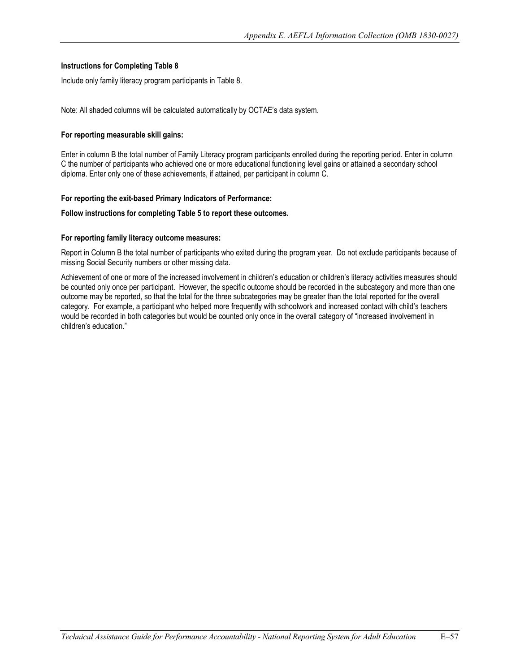Include only family literacy program participants in Table 8.

Note: All shaded columns will be calculated automatically by OCTAE's data system.

#### **For reporting measurable skill gains:**

Enter in column B the total number of Family Literacy program participants enrolled during the reporting period. Enter in column C the number of participants who achieved one or more educational functioning level gains or attained a secondary school diploma. Enter only one of these achievements, if attained, per participant in column C.

#### **For reporting the exit-based Primary Indicators of Performance:**

# Follow instructions for completing Table 5 to report these outcomes.<br>For reporting family literacy outcome measures:

 Report in Column B the total number of participants who exited during the program year. Do not exclude participants because of missing Social Security numbers or other missing data.

Achievement of one or more of the increased involvement in children's education or children's literacy activities measures should be counted only once per participant. However, the specific outcome should be recorded in the subcategory and more than one outcome may be reported, so that the total for the three subcategories may be greater than the total reported for the overall category. For example, a participant who helped more frequently with schoolwork and increased contact with child's teachers would be recorded in both categories but would be counted only once in the overall category of "increased involvement in children's education."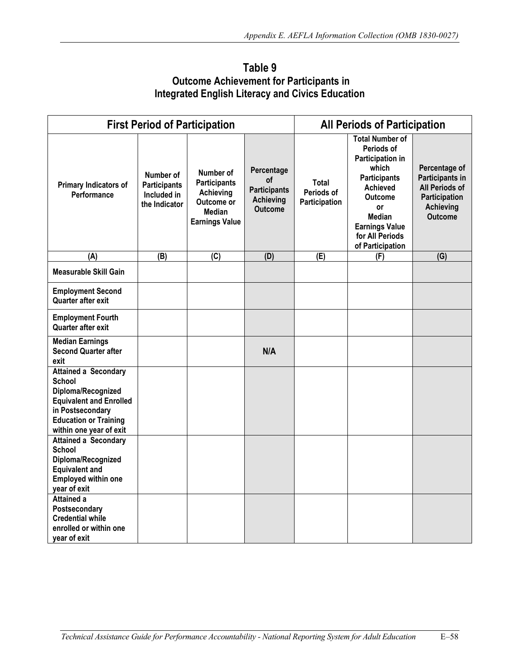| Table 9                                          |  |
|--------------------------------------------------|--|
| <b>Outcome Achievement for Participants in</b>   |  |
| Integrated English Literacy and Civics Education |  |

|                                                                                                                                                                              | <b>First Period of Participation</b>                             |                                                                                                |                                                                        | <b>All Periods of Participation</b>  |                                                                                                                                                                                                               |                                                                                                           |  |
|------------------------------------------------------------------------------------------------------------------------------------------------------------------------------|------------------------------------------------------------------|------------------------------------------------------------------------------------------------|------------------------------------------------------------------------|--------------------------------------|---------------------------------------------------------------------------------------------------------------------------------------------------------------------------------------------------------------|-----------------------------------------------------------------------------------------------------------|--|
| Primary Indicators of<br>Performance                                                                                                                                         | Number of<br><b>Participants</b><br>Included in<br>the Indicator | Number of<br><b>Participants</b><br>Achieving<br>Outcome or<br>Median<br><b>Earnings Value</b> | Percentage<br>οf<br><b>Participants</b><br><b>Achieving</b><br>Outcome | Total<br>Periods of<br>Participation | <b>Total Number of</b><br>Periods of<br>Participation in<br>which<br><b>Participants</b><br><b>Achieved</b><br><b>Outcome</b><br>or<br>Median<br><b>Earnings Value</b><br>for All Periods<br>of Participation | Percentage of<br>Participants in<br>All Periods of<br>Participation<br><b>Achieving</b><br><b>Outcome</b> |  |
| (A)                                                                                                                                                                          | (B)                                                              | $\overline{C}$                                                                                 | (D)                                                                    | $\overline{E}$                       | (F)                                                                                                                                                                                                           | (G)                                                                                                       |  |
| <b>Measurable Skill Gain</b>                                                                                                                                                 |                                                                  |                                                                                                |                                                                        |                                      |                                                                                                                                                                                                               |                                                                                                           |  |
| <b>Employment Second</b><br>Quarter after exit                                                                                                                               |                                                                  |                                                                                                |                                                                        |                                      |                                                                                                                                                                                                               |                                                                                                           |  |
| <b>Employment Fourth</b><br>Quarter after exit                                                                                                                               |                                                                  |                                                                                                |                                                                        |                                      |                                                                                                                                                                                                               |                                                                                                           |  |
| <b>Median Earnings</b><br><b>Second Quarter after</b><br>exit                                                                                                                |                                                                  |                                                                                                | N/A                                                                    |                                      |                                                                                                                                                                                                               |                                                                                                           |  |
| <b>Attained a Secondary</b><br>School<br>Diploma/Recognized<br><b>Equivalent and Enrolled</b><br>in Postsecondary<br><b>Education or Training</b><br>within one year of exit |                                                                  |                                                                                                |                                                                        |                                      |                                                                                                                                                                                                               |                                                                                                           |  |
| <b>Attained a Secondary</b><br><b>School</b><br>Diploma/Recognized<br><b>Equivalent and</b><br>Employed within one<br>year of exit                                           |                                                                  |                                                                                                |                                                                        |                                      |                                                                                                                                                                                                               |                                                                                                           |  |
| Attained a<br>Postsecondary<br><b>Credential while</b><br>enrolled or within one<br>year of exit                                                                             |                                                                  |                                                                                                |                                                                        |                                      |                                                                                                                                                                                                               |                                                                                                           |  |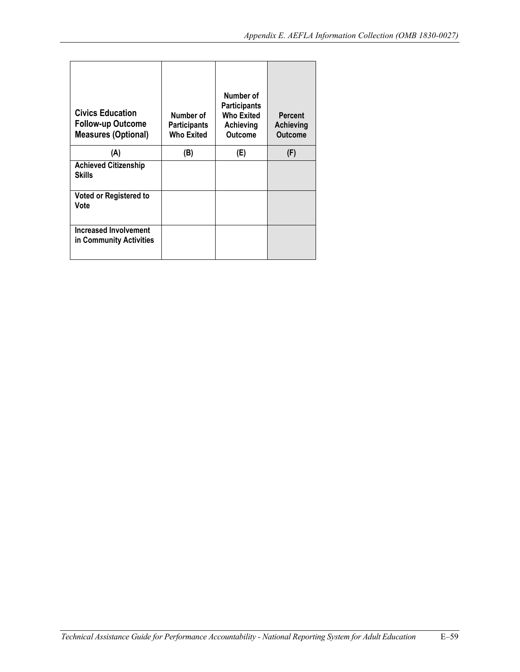| <b>Civics Education</b><br><b>Follow-up Outcome</b><br><b>Measures (Optional)</b> | Number of<br><b>Participants</b><br><b>Who Exited</b> | Number of<br><b>Participants</b><br>Who Exited<br>Achieving<br><b>Outcome</b> | <b>Percent</b><br>Achieving<br><b>Outcome</b> |
|-----------------------------------------------------------------------------------|-------------------------------------------------------|-------------------------------------------------------------------------------|-----------------------------------------------|
| (A)                                                                               | (B)                                                   | (E)                                                                           | (F)                                           |
| <b>Achieved Citizenship</b><br><b>Skills</b>                                      |                                                       |                                                                               |                                               |
| <b>Voted or Registered to</b><br>Vote                                             |                                                       |                                                                               |                                               |
| <b>Increased Involvement</b><br>in Community Activities                           |                                                       |                                                                               |                                               |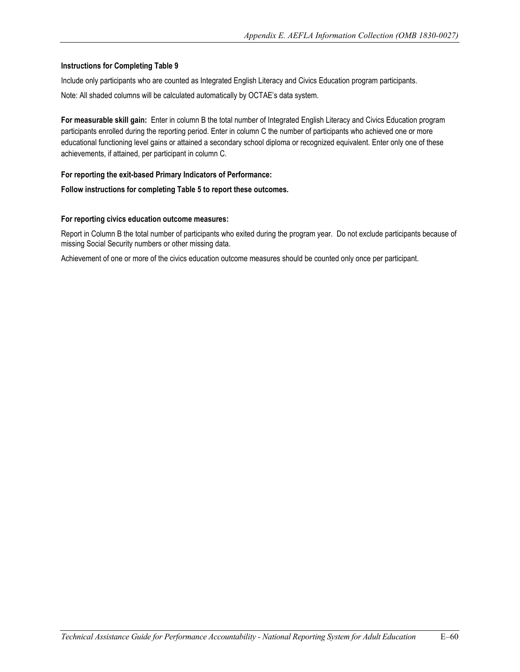Include only participants who are counted as Integrated English Literacy and Civics Education program participants. Note: All shaded columns will be calculated automatically by OCTAE's data system.

 **For measurable skill gain:** Enter in column B the total number of Integrated English Literacy and Civics Education program participants enrolled during the reporting period. Enter in column C the number of participants who achieved one or more educational functioning level gains or attained a secondary school diploma or recognized equivalent. Enter only one of these achievements, if attained, per participant in column C.

#### **For reporting the exit-based Primary Indicators of Performance:**

# **Follow instructions for completing Table 5 to report these outcomes. For reporting civics education outcome measures:**

 Report in Column B the total number of participants who exited during the program year. Do not exclude participants because of missing Social Security numbers or other missing data.

Achievement of one or more of the civics education outcome measures should be counted only once per participant.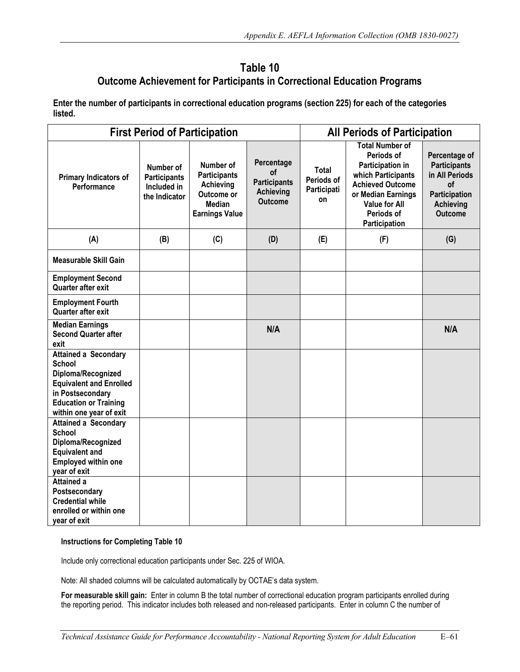# **Outcome Achievement for Participants in Correctional Education Programs Table 10**

**Enter the number of participants in correctional education programs (section 225) for each of the categories listed.** 

| <b>First Period of Participation</b>                                                                                                                                                |                                                                  |                                                                                                       | <b>All Periods of Participation</b>                                           |                                          |                                                                                                                                                                                        |                                                                                                                     |
|-------------------------------------------------------------------------------------------------------------------------------------------------------------------------------------|------------------------------------------------------------------|-------------------------------------------------------------------------------------------------------|-------------------------------------------------------------------------------|------------------------------------------|----------------------------------------------------------------------------------------------------------------------------------------------------------------------------------------|---------------------------------------------------------------------------------------------------------------------|
| Primary Indicators of<br>Performance                                                                                                                                                | Number of<br><b>Participants</b><br>Included in<br>the Indicator | Number of<br><b>Participants</b><br>Achieving<br>Outcome or<br><b>Median</b><br><b>Earnings Value</b> | Percentage<br>οf<br><b>Participants</b><br><b>Achieving</b><br><b>Outcome</b> | Total<br>Periods of<br>Participati<br>on | <b>Total Number of</b><br>Periods of<br>Participation in<br>which Participants<br><b>Achieved Outcome</b><br>or Median Earnings<br><b>Value for All</b><br>Periods of<br>Participation | Percentage of<br><b>Participants</b><br>in All Periods<br>οf<br>Participation<br><b>Achieving</b><br><b>Outcome</b> |
| (A)                                                                                                                                                                                 | (B)                                                              | (C)                                                                                                   | (D)                                                                           | (E)                                      | (F)                                                                                                                                                                                    | (G)                                                                                                                 |
| <b>Measurable Skill Gain</b>                                                                                                                                                        |                                                                  |                                                                                                       |                                                                               |                                          |                                                                                                                                                                                        |                                                                                                                     |
| <b>Employment Second</b><br>Quarter after exit                                                                                                                                      |                                                                  |                                                                                                       |                                                                               |                                          |                                                                                                                                                                                        |                                                                                                                     |
| <b>Employment Fourth</b><br>Quarter after exit                                                                                                                                      |                                                                  |                                                                                                       |                                                                               |                                          |                                                                                                                                                                                        |                                                                                                                     |
| <b>Median Earnings</b><br><b>Second Quarter after</b><br>exit                                                                                                                       |                                                                  |                                                                                                       | N/A                                                                           |                                          |                                                                                                                                                                                        | N/A                                                                                                                 |
| <b>Attained a Secondary</b><br><b>School</b><br>Diploma/Recognized<br><b>Equivalent and Enrolled</b><br>in Postsecondary<br><b>Education or Training</b><br>within one year of exit |                                                                  |                                                                                                       |                                                                               |                                          |                                                                                                                                                                                        |                                                                                                                     |
| <b>Attained a Secondary</b><br><b>School</b><br>Diploma/Recognized<br><b>Equivalent and</b><br><b>Employed within one</b><br>year of exit                                           |                                                                  |                                                                                                       |                                                                               |                                          |                                                                                                                                                                                        |                                                                                                                     |
| <b>Attained a</b><br>Postsecondary<br><b>Credential while</b><br>enrolled or within one<br>year of exit                                                                             |                                                                  |                                                                                                       |                                                                               |                                          |                                                                                                                                                                                        |                                                                                                                     |

#### **Instructions for Completing Table 10**

Include only correctional education participants under Sec. 225 of WIOA.

Note: All shaded columns will be calculated automatically by OCTAE's data system.

 **For measurable skill gain:** Enter in column B the total number of correctional education program participants enrolled during the reporting period. This indicator includes both released and non-released participants. Enter in column C the number of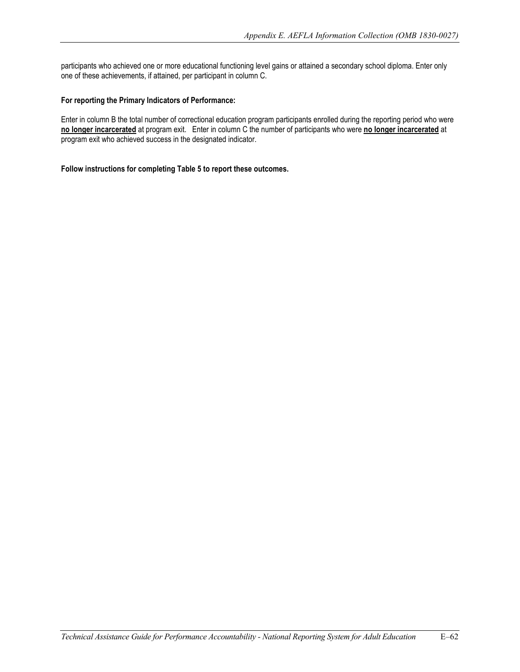participants who achieved one or more educational functioning level gains or attained a secondary school diploma. Enter only one of these achievements, if attained, per participant in column C.

#### **For reporting the Primary Indicators of Performance:**

 **no longer incarcerated** at program exit. Enter in column C the number of participants who were **no longer incarcerated** at Enter in column B the total number of correctional education program participants enrolled during the reporting period who were program exit who achieved success in the designated indicator.

**Follow instructions for completing Table 5 to report these outcomes.**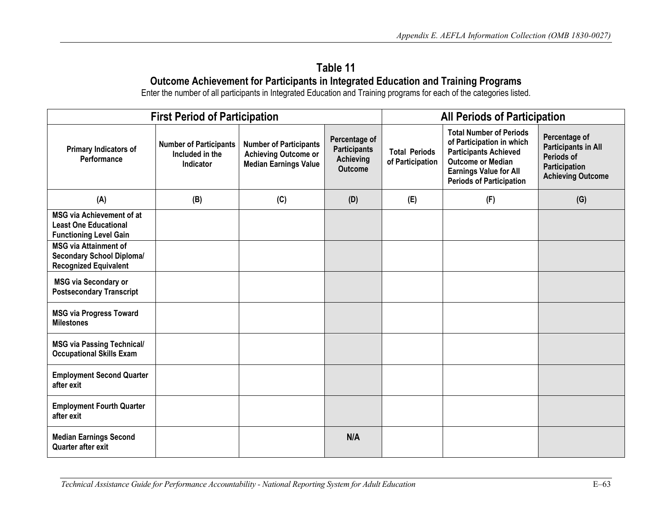# **Outcome Achievement for Participants in Integrated Education and Training Programs Table 11**

Enter the number of all participants in Integrated Education and Training programs for each of the categories listed.

| <b>First Period of Participation</b>                                                              |                                                                      |                                                                                              |                                                                            | <b>All Periods of Participation</b>      |                                                                                                                                                                                             |                                                                                                        |  |
|---------------------------------------------------------------------------------------------------|----------------------------------------------------------------------|----------------------------------------------------------------------------------------------|----------------------------------------------------------------------------|------------------------------------------|---------------------------------------------------------------------------------------------------------------------------------------------------------------------------------------------|--------------------------------------------------------------------------------------------------------|--|
| Primary Indicators of<br>Performance                                                              | <b>Number of Participants</b><br>Included in the<br><b>Indicator</b> | <b>Number of Participants</b><br><b>Achieving Outcome or</b><br><b>Median Earnings Value</b> | Percentage of<br><b>Participants</b><br><b>Achieving</b><br><b>Outcome</b> | <b>Total Periods</b><br>of Participation | <b>Total Number of Periods</b><br>of Participation in which<br><b>Participants Achieved</b><br><b>Outcome or Median</b><br><b>Earnings Value for All</b><br><b>Periods of Participation</b> | Percentage of<br><b>Participants in All</b><br>Periods of<br>Participation<br><b>Achieving Outcome</b> |  |
| (A)                                                                                               | (B)                                                                  | (C)                                                                                          | (D)                                                                        | (E)                                      | (F)                                                                                                                                                                                         | (G)                                                                                                    |  |
| <b>MSG via Achievement of at</b><br><b>Least One Educational</b><br><b>Functioning Level Gain</b> |                                                                      |                                                                                              |                                                                            |                                          |                                                                                                                                                                                             |                                                                                                        |  |
| <b>MSG via Attainment of</b><br><b>Secondary School Diploma/</b><br><b>Recognized Equivalent</b>  |                                                                      |                                                                                              |                                                                            |                                          |                                                                                                                                                                                             |                                                                                                        |  |
| <b>MSG via Secondary or</b><br><b>Postsecondary Transcript</b>                                    |                                                                      |                                                                                              |                                                                            |                                          |                                                                                                                                                                                             |                                                                                                        |  |
| <b>MSG via Progress Toward</b><br><b>Milestones</b>                                               |                                                                      |                                                                                              |                                                                            |                                          |                                                                                                                                                                                             |                                                                                                        |  |
| <b>MSG via Passing Technical/</b><br><b>Occupational Skills Exam</b>                              |                                                                      |                                                                                              |                                                                            |                                          |                                                                                                                                                                                             |                                                                                                        |  |
| <b>Employment Second Quarter</b><br>after exit                                                    |                                                                      |                                                                                              |                                                                            |                                          |                                                                                                                                                                                             |                                                                                                        |  |
| <b>Employment Fourth Quarter</b><br>after exit                                                    |                                                                      |                                                                                              |                                                                            |                                          |                                                                                                                                                                                             |                                                                                                        |  |
| <b>Median Earnings Second</b><br>Quarter after exit                                               |                                                                      |                                                                                              | N/A                                                                        |                                          |                                                                                                                                                                                             |                                                                                                        |  |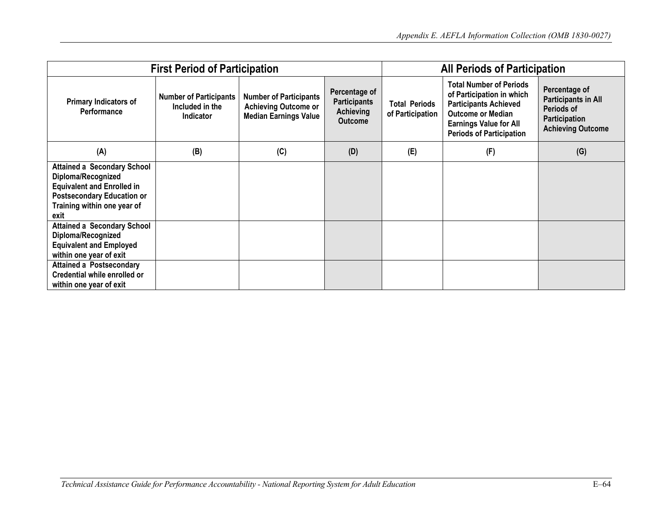| <b>First Period of Participation</b>                                                                                                                                      |                                                                      |                                                                                              |                                                                     | <b>All Periods of Participation</b>      |                                                                                                                                                                                             |                                                                                                               |  |
|---------------------------------------------------------------------------------------------------------------------------------------------------------------------------|----------------------------------------------------------------------|----------------------------------------------------------------------------------------------|---------------------------------------------------------------------|------------------------------------------|---------------------------------------------------------------------------------------------------------------------------------------------------------------------------------------------|---------------------------------------------------------------------------------------------------------------|--|
| <b>Primary Indicators of</b><br>Performance                                                                                                                               | <b>Number of Participants</b><br>Included in the<br><b>Indicator</b> | <b>Number of Participants</b><br><b>Achieving Outcome or</b><br><b>Median Earnings Value</b> | Percentage of<br><b>Participants</b><br>Achieving<br><b>Outcome</b> | <b>Total Periods</b><br>of Participation | <b>Total Number of Periods</b><br>of Participation in which<br><b>Participants Achieved</b><br><b>Outcome or Median</b><br><b>Earnings Value for All</b><br><b>Periods of Participation</b> | Percentage of<br><b>Participants in All</b><br>Periods of<br><b>Participation</b><br><b>Achieving Outcome</b> |  |
| (A)                                                                                                                                                                       | (B)                                                                  | (C)                                                                                          | (D)                                                                 | (E)                                      | (F)                                                                                                                                                                                         | (G)                                                                                                           |  |
| <b>Attained a Secondary School</b><br>Diploma/Recognized<br><b>Equivalent and Enrolled in</b><br><b>Postsecondary Education or</b><br>Training within one year of<br>exit |                                                                      |                                                                                              |                                                                     |                                          |                                                                                                                                                                                             |                                                                                                               |  |
| <b>Attained a Secondary School</b><br>Diploma/Recognized<br><b>Equivalent and Employed</b><br>within one year of exit                                                     |                                                                      |                                                                                              |                                                                     |                                          |                                                                                                                                                                                             |                                                                                                               |  |
| <b>Attained a Postsecondary</b><br>Credential while enrolled or<br>within one year of exit                                                                                |                                                                      |                                                                                              |                                                                     |                                          |                                                                                                                                                                                             |                                                                                                               |  |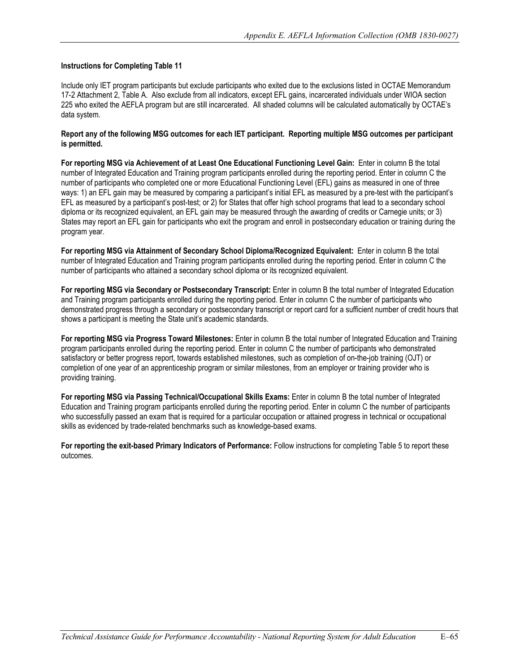17-2 Attachment 2, Table A. Also exclude from all indicators, except EFL gains, incarcerated individuals under WIOA section 225 who exited the AEFLA program but are still incarcerated. All shaded columns will be calculated automatically by OCTAE's Include only IET program participants but exclude participants who exited due to the exclusions listed in OCTAE Memorandum data system.

#### **Report any of the following MSG outcomes for each IET participant. Reporting multiple MSG outcomes per participant is permitted.**

 **For reporting MSG via Achievement of at Least One Educational Functioning Level Gain:** Enter in column B the total number of Integrated Education and Training program participants enrolled during the reporting period. Enter in column C the number of participants who completed one or more Educational Functioning Level (EFL) gains as measured in one of three ways: 1) an EFL gain may be measured by comparing a participant's initial EFL as measured by a pre-test with the participant's EFL as measured by a participant's post-test; or 2) for States that offer high school programs that lead to a secondary school diploma or its recognized equivalent, an EFL gain may be measured through the awarding of credits or Carnegie units; or 3) States may report an EFL gain for participants who exit the program and enroll in postsecondary education or training during the program year.

 **For reporting MSG via Attainment of Secondary School Diploma/Recognized Equivalent:** Enter in column B the total number of Integrated Education and Training program participants enrolled during the reporting period. Enter in column C the number of participants who attained a secondary school diploma or its recognized equivalent.

**For reporting MSG via Secondary or Postsecondary Transcript:** Enter in column B the total number of Integrated Education and Training program participants enrolled during the reporting period. Enter in column C the number of participants who demonstrated progress through a secondary or postsecondary transcript or report card for a sufficient number of credit hours that shows a participant is meeting the State unit's academic standards.

**For reporting MSG via Progress Toward Milestones:** Enter in column B the total number of Integrated Education and Training program participants enrolled during the reporting period. Enter in column C the number of participants who demonstrated satisfactory or better progress report, towards established milestones, such as completion of on-the-job training (OJT) or completion of one year of an apprenticeship program or similar milestones, from an employer or training provider who is providing training.

**For reporting MSG via Passing Technical/Occupational Skills Exams:** Enter in column B the total number of Integrated Education and Training program participants enrolled during the reporting period. Enter in column C the number of participants who successfully passed an exam that is required for a particular occupation or attained progress in technical or occupational skills as evidenced by trade-related benchmarks such as knowledge-based exams.

**For reporting the exit-based Primary Indicators of Performance:** Follow instructions for completing Table 5 to report these outcomes.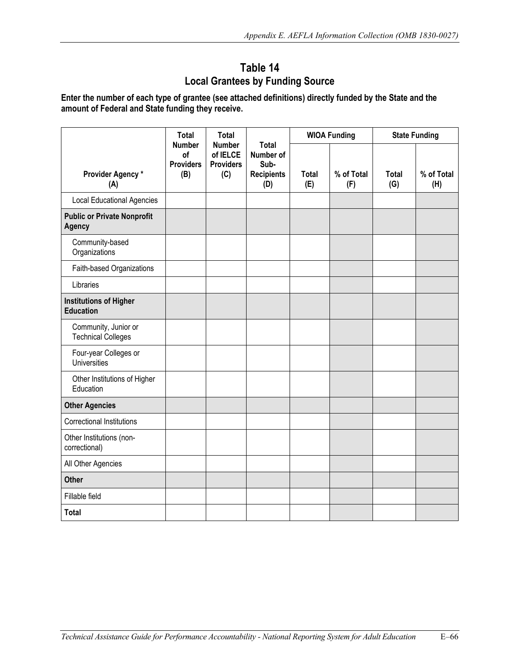# **Table 14 Local Grantees by Funding Source**

**Enter the number of each type of grantee (see attached definitions) directly funded by the State and the amount of Federal and State funding they receive.** 

|                                                     | <b>Total</b>                                   | <b>Total</b><br><b>Number</b><br>of IELCE<br><b>Providers</b><br>(C) |                                                               |                     | <b>WIOA Funding</b> |                     | <b>State Funding</b> |  |
|-----------------------------------------------------|------------------------------------------------|----------------------------------------------------------------------|---------------------------------------------------------------|---------------------|---------------------|---------------------|----------------------|--|
| Provider Agency*<br>(A)                             | <b>Number</b><br>of<br><b>Providers</b><br>(B) |                                                                      | <b>Total</b><br>Number of<br>Sub-<br><b>Recipients</b><br>(D) | <b>Total</b><br>(E) | % of Total<br>(F)   | <b>Total</b><br>(G) | % of Total<br>(H)    |  |
| <b>Local Educational Agencies</b>                   |                                                |                                                                      |                                                               |                     |                     |                     |                      |  |
| <b>Public or Private Nonprofit</b><br><b>Agency</b> |                                                |                                                                      |                                                               |                     |                     |                     |                      |  |
| Community-based<br>Organizations                    |                                                |                                                                      |                                                               |                     |                     |                     |                      |  |
| Faith-based Organizations                           |                                                |                                                                      |                                                               |                     |                     |                     |                      |  |
| Libraries                                           |                                                |                                                                      |                                                               |                     |                     |                     |                      |  |
| <b>Institutions of Higher</b><br><b>Education</b>   |                                                |                                                                      |                                                               |                     |                     |                     |                      |  |
| Community, Junior or<br><b>Technical Colleges</b>   |                                                |                                                                      |                                                               |                     |                     |                     |                      |  |
| Four-year Colleges or<br>Universities               |                                                |                                                                      |                                                               |                     |                     |                     |                      |  |
| Other Institutions of Higher<br>Education           |                                                |                                                                      |                                                               |                     |                     |                     |                      |  |
| <b>Other Agencies</b>                               |                                                |                                                                      |                                                               |                     |                     |                     |                      |  |
| <b>Correctional Institutions</b>                    |                                                |                                                                      |                                                               |                     |                     |                     |                      |  |
| Other Institutions (non-<br>correctional)           |                                                |                                                                      |                                                               |                     |                     |                     |                      |  |
| All Other Agencies                                  |                                                |                                                                      |                                                               |                     |                     |                     |                      |  |
| <b>Other</b>                                        |                                                |                                                                      |                                                               |                     |                     |                     |                      |  |
| Fillable field                                      |                                                |                                                                      |                                                               |                     |                     |                     |                      |  |
| <b>Total</b>                                        |                                                |                                                                      |                                                               |                     |                     |                     |                      |  |